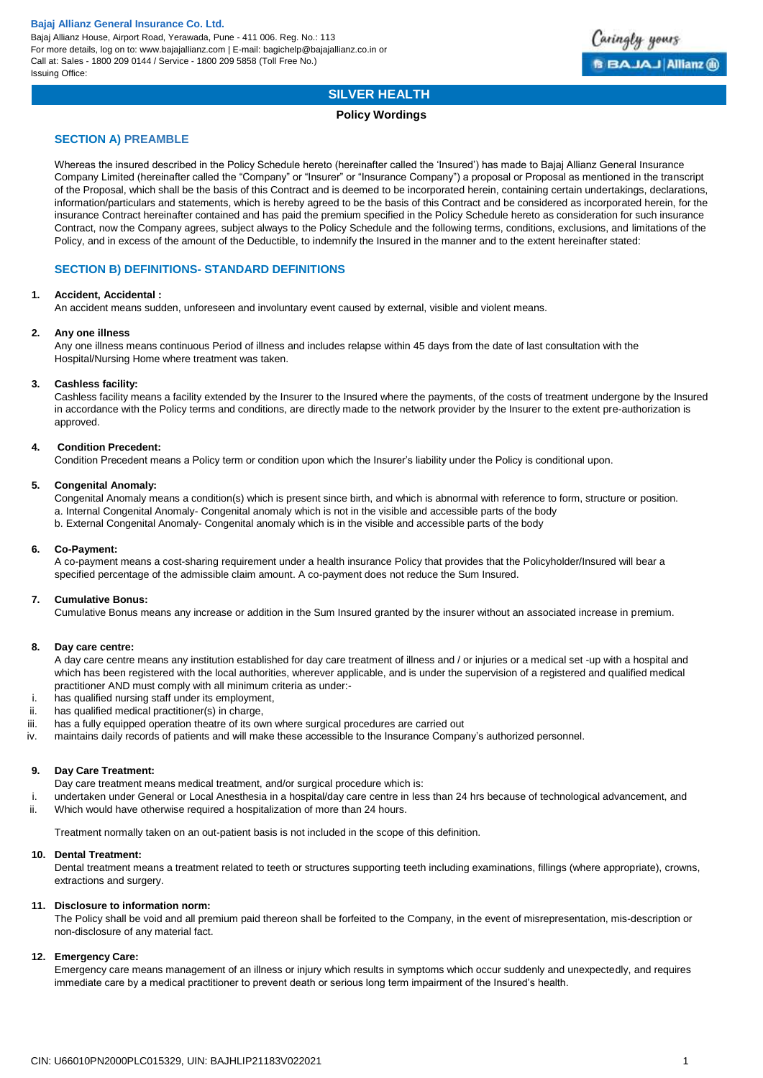

### **SILVER HEALTH**

### **Policy Wordings**

### **SECTION A) PREAMBLE**

Whereas the insured described in the Policy Schedule hereto (hereinafter called the 'Insured') has made to Bajaj Allianz General Insurance Company Limited (hereinafter called the "Company" or "Insurer" or "Insurance Company") a proposal or Proposal as mentioned in the transcript of the Proposal, which shall be the basis of this Contract and is deemed to be incorporated herein, containing certain undertakings, declarations, information/particulars and statements, which is hereby agreed to be the basis of this Contract and be considered as incorporated herein, for the insurance Contract hereinafter contained and has paid the premium specified in the Policy Schedule hereto as consideration for such insurance Contract, now the Company agrees, subject always to the Policy Schedule and the following terms, conditions, exclusions, and limitations of the Policy, and in excess of the amount of the Deductible, to indemnify the Insured in the manner and to the extent hereinafter stated:

### **SECTION B) DEFINITIONS- STANDARD DEFINITIONS**

### **1. Accident, Accidental :**

An accident means sudden, unforeseen and involuntary event caused by external, visible and violent means.

### **2. Any one illness**

Any one illness means continuous Period of illness and includes relapse within 45 days from the date of last consultation with the Hospital/Nursing Home where treatment was taken.

### **3. Cashless facility:**

Cashless facility means a facility extended by the Insurer to the Insured where the payments, of the costs of treatment undergone by the Insured in accordance with the Policy terms and conditions, are directly made to the network provider by the Insurer to the extent pre-authorization is approved.

### **4. Condition Precedent:**

Condition Precedent means a Policy term or condition upon which the Insurer's liability under the Policy is conditional upon.

### **5. Congenital Anomaly:**

Congenital Anomaly means a condition(s) which is present since birth, and which is abnormal with reference to form, structure or position. a. Internal Congenital Anomaly- Congenital anomaly which is not in the visible and accessible parts of the body b. External Congenital Anomaly- Congenital anomaly which is in the visible and accessible parts of the body

### **6. Co-Payment:**

A co-payment means a cost-sharing requirement under a health insurance Policy that provides that the Policyholder/Insured will bear a specified percentage of the admissible claim amount. A co-payment does not reduce the Sum Insured.

### **7. Cumulative Bonus:**

Cumulative Bonus means any increase or addition in the Sum Insured granted by the insurer without an associated increase in premium.

### **8. Day care centre:**

A day care centre means any institution established for day care treatment of illness and / or injuries or a medical set -up with a hospital and which has been registered with the local authorities, wherever applicable, and is under the supervision of a registered and qualified medical practitioner AND must comply with all minimum criteria as under:-

- i. has qualified nursing staff under its employment,
- ii. has qualified medical practitioner(s) in charge,
- iii. has a fully equipped operation theatre of its own where surgical procedures are carried out
- iv. maintains daily records of patients and will make these accessible to the Insurance Company's authorized personnel.

### **9. Day Care Treatment:**

Day care treatment means medical treatment, and/or surgical procedure which is:

i. undertaken under General or Local Anesthesia in a hospital/day care centre in less than 24 hrs because of technological advancement, and ii. Which would have otherwise required a hospitalization of more than 24 hours.

Treatment normally taken on an out-patient basis is not included in the scope of this definition.

### **10. Dental Treatment:**

Dental treatment means a treatment related to teeth or structures supporting teeth including examinations, fillings (where appropriate), crowns, extractions and surgery.

### **11. Disclosure to information norm:**

The Policy shall be void and all premium paid thereon shall be forfeited to the Company, in the event of misrepresentation, mis-description or non-disclosure of any material fact.

### **12. Emergency Care:**

Emergency care means management of an illness or injury which results in symptoms which occur suddenly and unexpectedly, and requires immediate care by a medical practitioner to prevent death or serious long term impairment of the Insured's health.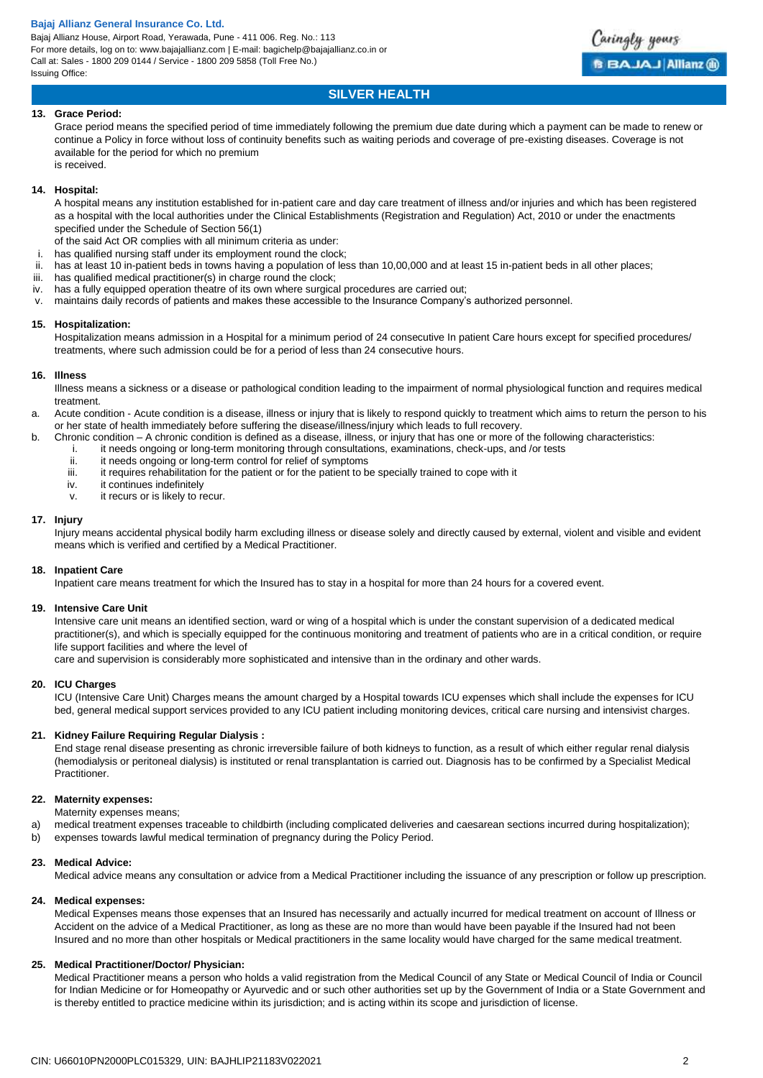Bajaj Allianz House, Airport Road, Yerawada, Pune - 411 006. Reg. No.: 113 For more details, log on to: www.bajajallianz.com | E-mail: bagichelp@bajajallianz.co.in or Call at: Sales - 1800 209 0144 / Service - 1800 209 5858 (Toll Free No.) Issuing Office:



### **SILVER HEALTH**

### **13. Grace Period:**

Grace period means the specified period of time immediately following the premium due date during which a payment can be made to renew or continue a Policy in force without loss of continuity benefits such as waiting periods and coverage of pre-existing diseases. Coverage is not available for the period for which no premium is received.

### **14. Hospital:**

A hospital means any institution established for in-patient care and day care treatment of illness and/or injuries and which has been registered as a hospital with the local authorities under the Clinical Establishments (Registration and Regulation) Act, 2010 or under the enactments specified under the Schedule of Section 56(1)

- of the said Act OR complies with all minimum criteria as under:
- i. has qualified nursing staff under its employment round the clock;
- ii. has at least 10 in-patient beds in towns having a population of less than 10,00,000 and at least 15 in-patient beds in all other places;
- iii. has qualified medical practitioner(s) in charge round the clock;
- iv. has a fully equipped operation theatre of its own where surgical procedures are carried out;
- v. maintains daily records of patients and makes these accessible to the Insurance Company's authorized personnel.

### **15. Hospitalization:**

Hospitalization means admission in a Hospital for a minimum period of 24 consecutive In patient Care hours except for specified procedures/ treatments, where such admission could be for a period of less than 24 consecutive hours.

### **16. Illness**

Illness means a sickness or a disease or pathological condition leading to the impairment of normal physiological function and requires medical treatment.

- a. Acute condition Acute condition is a disease, illness or injury that is likely to respond quickly to treatment which aims to return the person to his or her state of health immediately before suffering the disease/illness/injury which leads to full recovery.
- b. Chronic condition A chronic condition is defined as a disease, illness, or injury that has one or more of the following characteristics:
	- i. it needs ongoing or long-term monitoring through consultations, examinations, check-ups, and /or tests
	- ii. it needs ongoing or long-term control for relief of symptoms<br>iii it requires rehabilitation for the patient or for the patient to b
	- iii. it requires rehabilitation for the patient or for the patient to be specially trained to cope with it iv.
	- it continues indefinitely
	- v. it recurs or is likely to recur.

### **17. Injury**

Injury means accidental physical bodily harm excluding illness or disease solely and directly caused by external, violent and visible and evident means which is verified and certified by a Medical Practitioner.

### **18. Inpatient Care**

Inpatient care means treatment for which the Insured has to stay in a hospital for more than 24 hours for a covered event.

### **19. Intensive Care Unit**

Intensive care unit means an identified section, ward or wing of a hospital which is under the constant supervision of a dedicated medical practitioner(s), and which is specially equipped for the continuous monitoring and treatment of patients who are in a critical condition, or require life support facilities and where the level of

care and supervision is considerably more sophisticated and intensive than in the ordinary and other wards.

### **20. ICU Charges**

ICU (Intensive Care Unit) Charges means the amount charged by a Hospital towards ICU expenses which shall include the expenses for ICU bed, general medical support services provided to any ICU patient including monitoring devices, critical care nursing and intensivist charges.

### **21. Kidney Failure Requiring Regular Dialysis :**

End stage renal disease presenting as chronic irreversible failure of both kidneys to function, as a result of which either regular renal dialysis (hemodialysis or peritoneal dialysis) is instituted or renal transplantation is carried out. Diagnosis has to be confirmed by a Specialist Medical Practitioner.

### **22. Maternity expenses:**

Maternity expenses means;

a) medical treatment expenses traceable to childbirth (including complicated deliveries and caesarean sections incurred during hospitalization);

b) expenses towards lawful medical termination of pregnancy during the Policy Period.

### **23. Medical Advice:**

Medical advice means any consultation or advice from a Medical Practitioner including the issuance of any prescription or follow up prescription.

#### **24. Medical expenses:**

Medical Expenses means those expenses that an Insured has necessarily and actually incurred for medical treatment on account of Illness or Accident on the advice of a Medical Practitioner, as long as these are no more than would have been payable if the Insured had not been Insured and no more than other hospitals or Medical practitioners in the same locality would have charged for the same medical treatment.

### **25. Medical Practitioner/Doctor/ Physician:**

Medical Practitioner means a person who holds a valid registration from the Medical Council of any State or Medical Council of India or Council for Indian Medicine or for Homeopathy or Ayurvedic and or such other authorities set up by the Government of India or a State Government and is thereby entitled to practice medicine within its jurisdiction; and is acting within its scope and jurisdiction of license.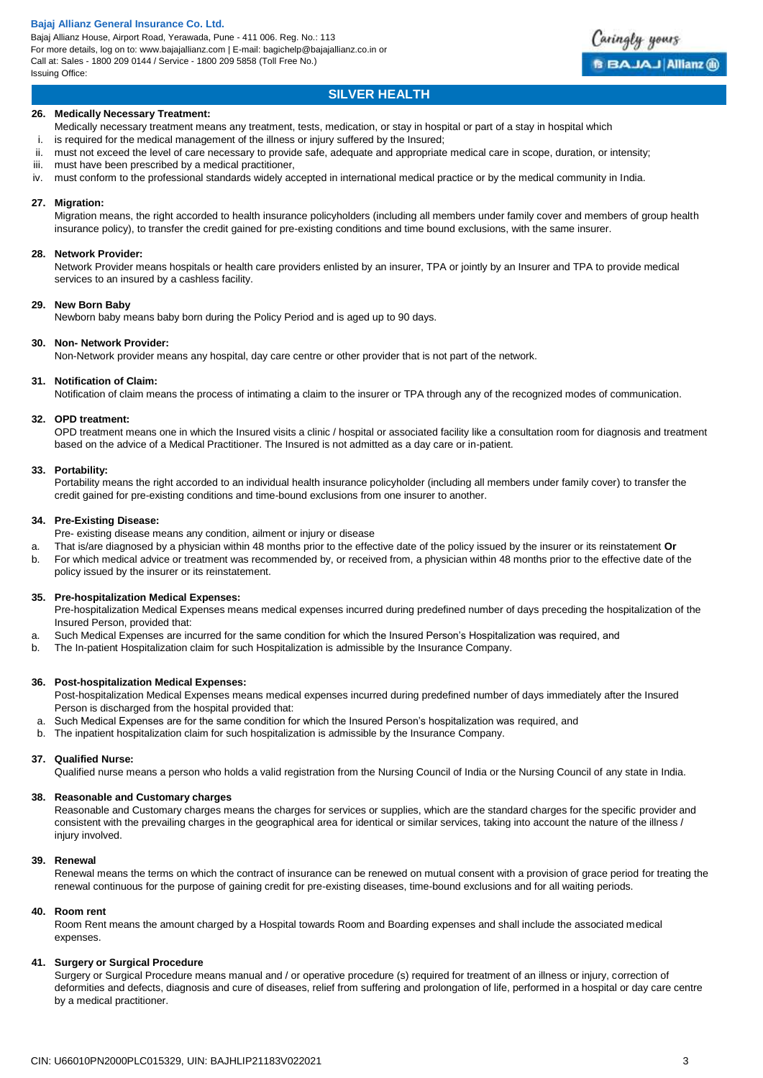Bajaj Allianz House, Airport Road, Yerawada, Pune - 411 006. Reg. No.: 113 For more details, log on to: www.bajajallianz.com | E-mail: bagichelp@bajajallianz.co.in or Call at: Sales - 1800 209 0144 / Service - 1800 209 5858 (Toll Free No.) Issuing Office:



### **26. Medically Necessary Treatment:**

- Medically necessary treatment means any treatment, tests, medication, or stay in hospital or part of a stay in hospital which
- i. is required for the medical management of the illness or injury suffered by the Insured;
- ii. must not exceed the level of care necessary to provide safe, adequate and appropriate medical care in scope, duration, or intensity;
- iii. must have been prescribed by a medical practitioner,
- iv. must conform to the professional standards widely accepted in international medical practice or by the medical community in India.

### **27. Migration:**

Migration means, the right accorded to health insurance policyholders (including all members under family cover and members of group health insurance policy), to transfer the credit gained for pre-existing conditions and time bound exclusions, with the same insurer.

#### **28. Network Provider:**

Network Provider means hospitals or health care providers enlisted by an insurer, TPA or jointly by an Insurer and TPA to provide medical services to an insured by a cashless facility.

### **29. New Born Baby**

Newborn baby means baby born during the Policy Period and is aged up to 90 days.

### **30. Non- Network Provider:**

Non-Network provider means any hospital, day care centre or other provider that is not part of the network.

### **31. Notification of Claim:**

Notification of claim means the process of intimating a claim to the insurer or TPA through any of the recognized modes of communication.

### **32. OPD treatment:**

OPD treatment means one in which the Insured visits a clinic / hospital or associated facility like a consultation room for diagnosis and treatment based on the advice of a Medical Practitioner. The Insured is not admitted as a day care or in-patient.

### **33. Portability:**

Portability means the right accorded to an individual health insurance policyholder (including all members under family cover) to transfer the credit gained for pre-existing conditions and time-bound exclusions from one insurer to another.

### **34. Pre-Existing Disease:**

Pre- existing disease means any condition, ailment or injury or disease

- a. That is/are diagnosed by a physician within 48 months prior to the effective date of the policy issued by the insurer or its reinstatement **Or**
- b. For which medical advice or treatment was recommended by, or received from, a physician within 48 months prior to the effective date of the policy issued by the insurer or its reinstatement.

### **35. Pre-hospitalization Medical Expenses:**

Pre-hospitalization Medical Expenses means medical expenses incurred during predefined number of days preceding the hospitalization of the Insured Person, provided that:

- a. Such Medical Expenses are incurred for the same condition for which the Insured Person's Hospitalization was required, and
- b. The In-patient Hospitalization claim for such Hospitalization is admissible by the Insurance Company.

### **36. Post-hospitalization Medical Expenses:**

Post-hospitalization Medical Expenses means medical expenses incurred during predefined number of days immediately after the Insured Person is discharged from the hospital provided that:

- a. Such Medical Expenses are for the same condition for which the Insured Person's hospitalization was required, and
- b. The inpatient hospitalization claim for such hospitalization is admissible by the Insurance Company.

### **37. Qualified Nurse:**

Qualified nurse means a person who holds a valid registration from the Nursing Council of India or the Nursing Council of any state in India.

### **38. Reasonable and Customary charges**

Reasonable and Customary charges means the charges for services or supplies, which are the standard charges for the specific provider and consistent with the prevailing charges in the geographical area for identical or similar services, taking into account the nature of the illness / injury involved.

### **39. Renewal**

Renewal means the terms on which the contract of insurance can be renewed on mutual consent with a provision of grace period for treating the renewal continuous for the purpose of gaining credit for pre-existing diseases, time-bound exclusions and for all waiting periods.

#### **40. Room rent**

Room Rent means the amount charged by a Hospital towards Room and Boarding expenses and shall include the associated medical expenses.

### **41. Surgery or Surgical Procedure**

Surgery or Surgical Procedure means manual and / or operative procedure (s) required for treatment of an illness or injury, correction of deformities and defects, diagnosis and cure of diseases, relief from suffering and prolongation of life, performed in a hospital or day care centre by a medical practitioner.

Caringly yours

**BBAJAJ Allianz @**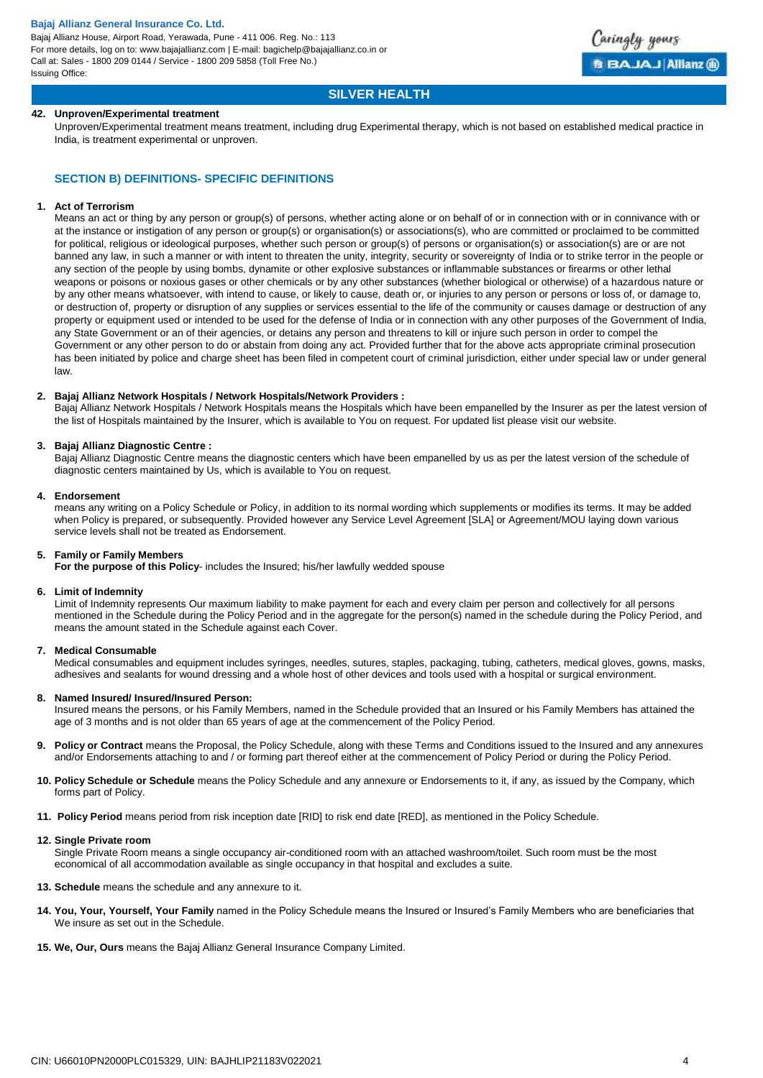Bajaj Allianz House, Airport Road, Yerawada, Pune - 411 006. Reg. No.: 113 For more details, log on to: www.bajajallianz.com | E-mail: bagichelp@bajajallianz.co.in or Call at: Sales - 1800 209 0144 / Service - 1800 209 5858 (Toll Free No.) Issuing Office:



### **SILVER HEALTH**

### **42. Unproven/Experimental treatment**

Unproven/Experimental treatment means treatment, including drug Experimental therapy, which is not based on established medical practice in India, is treatment experimental or unproven.

### **SECTION B) DEFINITIONS- SPECIFIC DEFINITIONS**

#### **1. Act of Terrorism**

Means an act or thing by any person or group(s) of persons, whether acting alone or on behalf of or in connection with or in connivance with or at the instance or instigation of any person or group(s) or organisation(s) or associations(s), who are committed or proclaimed to be committed for political, religious or ideological purposes, whether such person or group(s) of persons or organisation(s) or association(s) are or are not banned any law, in such a manner or with intent to threaten the unity, integrity, security or sovereignty of India or to strike terror in the people or any section of the people by using bombs, dynamite or other explosive substances or inflammable substances or firearms or other lethal weapons or poisons or noxious gases or other chemicals or by any other substances (whether biological or otherwise) of a hazardous nature or by any other means whatsoever, with intend to cause, or likely to cause, death or, or injuries to any person or persons or loss of, or damage to, or destruction of, property or disruption of any supplies or services essential to the life of the community or causes damage or destruction of any property or equipment used or intended to be used for the defense of India or in connection with any other purposes of the Government of India, any State Government or an of their agencies, or detains any person and threatens to kill or injure such person in order to compel the Government or any other person to do or abstain from doing any act. Provided further that for the above acts appropriate criminal prosecution has been initiated by police and charge sheet has been filed in competent court of criminal jurisdiction, either under special law or under general law.

### **2. Bajaj Allianz Network Hospitals / Network Hospitals/Network Providers :**

Bajaj Allianz Network Hospitals / Network Hospitals means the Hospitals which have been empanelled by the Insurer as per the latest version of the list of Hospitals maintained by the Insurer, which is available to You on request. For updated list please visit our website.

### **3. Bajaj Allianz Diagnostic Centre :**

Bajaj Allianz Diagnostic Centre means the diagnostic centers which have been empanelled by us as per the latest version of the schedule of diagnostic centers maintained by Us, which is available to You on request.

### **4. Endorsement**

means any writing on a Policy Schedule or Policy, in addition to its normal wording which supplements or modifies its terms. It may be added when Policy is prepared, or subsequently. Provided however any Service Level Agreement [SLA] or Agreement/MOU laying down various service levels shall not be treated as Endorsement.

### **5. Family or Family Members**

**For the purpose of this Policy**- includes the Insured; his/her lawfully wedded spouse

#### **6. Limit of Indemnity**

Limit of Indemnity represents Our maximum liability to make payment for each and every claim per person and collectively for all persons mentioned in the Schedule during the Policy Period and in the aggregate for the person(s) named in the schedule during the Policy Period, and means the amount stated in the Schedule against each Cover.

#### **7. Medical Consumable**

Medical consumables and equipment includes syringes, needles, sutures, staples, packaging, tubing, catheters, medical gloves, gowns, masks, adhesives and sealants for wound dressing and a whole host of other devices and tools used with a hospital or surgical environment.

### **8. Named Insured/ Insured/Insured Person:**

Insured means the persons, or his Family Members, named in the Schedule provided that an Insured or his Family Members has attained the age of 3 months and is not older than 65 years of age at the commencement of the Policy Period.

- **9. Policy or Contract** means the Proposal, the Policy Schedule, along with these Terms and Conditions issued to the Insured and any annexures and/or Endorsements attaching to and / or forming part thereof either at the commencement of Policy Period or during the Policy Period.
- **10. Policy Schedule or Schedule** means the Policy Schedule and any annexure or Endorsements to it, if any, as issued by the Company, which forms part of Policy.
- **11. Policy Period** means period from risk inception date [RID] to risk end date [RED], as mentioned in the Policy Schedule.

#### **12. Single Private room**

Single Private Room means a single occupancy air-conditioned room with an attached washroom/toilet. Such room must be the most economical of all accommodation available as single occupancy in that hospital and excludes a suite.

- **13. Schedule** means the schedule and any annexure to it.
- **14. You, Your, Yourself, Your Family** named in the Policy Schedule means the Insured or Insured's Family Members who are beneficiaries that We insure as set out in the Schedule.
- **15. We, Our, Ours** means the Bajaj Allianz General Insurance Company Limited.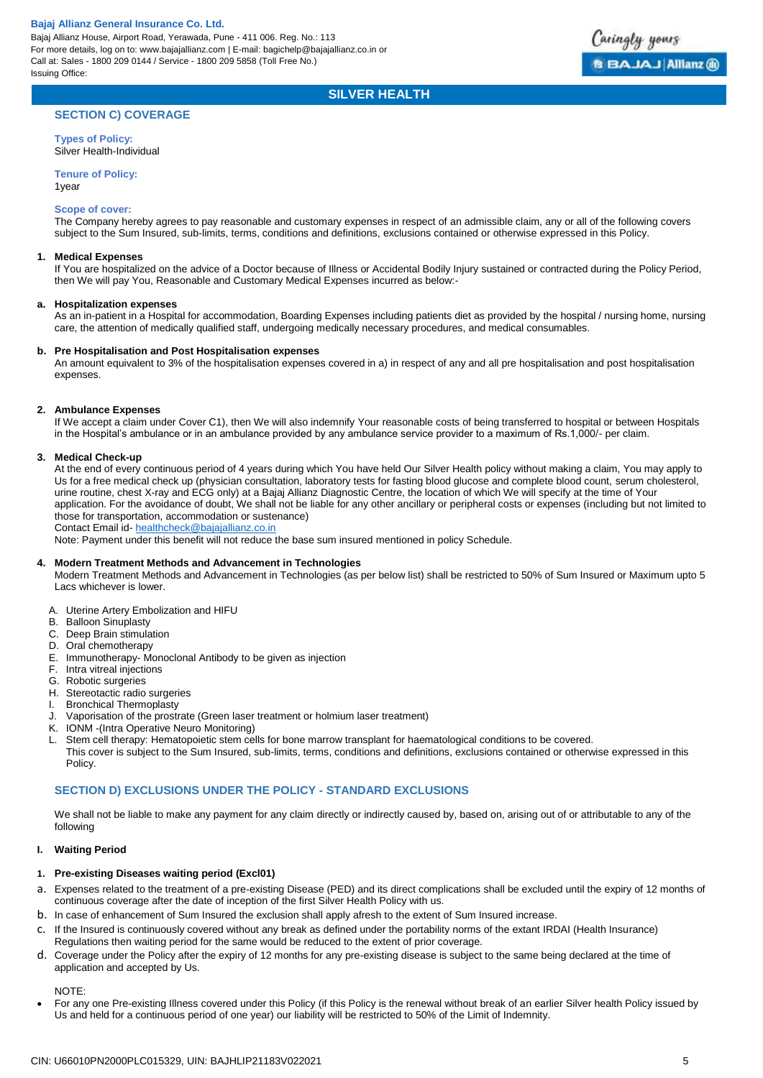

### **SILVER HEALTH**

### **SECTION C) COVERAGE**

**Types of Policy:** Silver Health-Individual

**Tenure of Policy:**

1year

#### **Scope of cover:**

The Company hereby agrees to pay reasonable and customary expenses in respect of an admissible claim, any or all of the following covers subject to the Sum Insured, sub-limits, terms, conditions and definitions, exclusions contained or otherwise expressed in this Policy.

### **1. Medical Expenses**

If You are hospitalized on the advice of a Doctor because of Illness or Accidental Bodily Injury sustained or contracted during the Policy Period, then We will pay You, Reasonable and Customary Medical Expenses incurred as below:-

### **a. Hospitalization expenses**

As an in-patient in a Hospital for accommodation, Boarding Expenses including patients diet as provided by the hospital / nursing home, nursing care, the attention of medically qualified staff, undergoing medically necessary procedures, and medical consumables.

#### **b. Pre Hospitalisation and Post Hospitalisation expenses**

An amount equivalent to 3% of the hospitalisation expenses covered in a) in respect of any and all pre hospitalisation and post hospitalisation expenses.

### **2. Ambulance Expenses**

If We accept a claim under Cover C1), then We will also indemnify Your reasonable costs of being transferred to hospital or between Hospitals in the Hospital's ambulance or in an ambulance provided by any ambulance service provider to a maximum of Rs.1,000/- per claim.

### **3. Medical Check-up**

At the end of every continuous period of 4 years during which You have held Our Silver Health policy without making a claim, You may apply to Us for a free medical check up (physician consultation, laboratory tests for fasting blood glucose and complete blood count, serum cholesterol, urine routine, chest X-ray and ECG only) at a Bajaj Allianz Diagnostic Centre, the location of which We will specify at the time of Your application. For the avoidance of doubt, We shall not be liable for any other ancillary or peripheral costs or expenses (including but not limited to those for transportation, accommodation or sustenance)

Contact Email id- [healthcheck@bajajallianz.co.in](mailto:healthcheck@bajajallianz.co.in)

Note: Payment under this benefit will not reduce the base sum insured mentioned in policy Schedule.

#### **4. Modern Treatment Methods and Advancement in Technologies**

Modern Treatment Methods and Advancement in Technologies (as per below list) shall be restricted to 50% of Sum Insured or Maximum upto 5 Lacs whichever is lower.

- A. Uterine Artery Embolization and HIFU
- B. Balloon Sinuplasty
- C. Deep Brain stimulation
- D. Oral chemotherapy
- E. Immunotherapy- Monoclonal Antibody to be given as injection
- F. Intra vitreal injections
- G. Robotic surgeries
- H. Stereotactic radio surgeries
- I. Bronchical Thermoplasty
- J. Vaporisation of the prostrate (Green laser treatment or holmium laser treatment)
- K. IONM -(Intra Operative Neuro Monitoring)
- Stem cell therapy: Hematopoietic stem cells for bone marrow transplant for haematological conditions to be covered. This cover is subject to the Sum Insured, sub-limits, terms, conditions and definitions, exclusions contained or otherwise expressed in this Policy.

### **SECTION D) EXCLUSIONS UNDER THE POLICY - STANDARD EXCLUSIONS**

We shall not be liable to make any payment for any claim directly or indirectly caused by, based on, arising out of or attributable to any of the following

### **I. Waiting Period**

### **1. Pre-existing Diseases waiting period (Excl01)**

- a. Expenses related to the treatment of a pre-existing Disease (PED) and its direct complications shall be excluded until the expiry of 12 months of continuous coverage after the date of inception of the first Silver Health Policy with us.
- b. In case of enhancement of Sum Insured the exclusion shall apply afresh to the extent of Sum Insured increase.
- c. If the Insured is continuously covered without any break as defined under the portability norms of the extant IRDAI (Health Insurance) Regulations then waiting period for the same would be reduced to the extent of prior coverage.
- d. Coverage under the Policy after the expiry of 12 months for any pre-existing disease is subject to the same being declared at the time of application and accepted by Us.

NOTE:

 For any one Pre-existing Illness covered under this Policy (if this Policy is the renewal without break of an earlier Silver health Policy issued by Us and held for a continuous period of one year) our liability will be restricted to 50% of the Limit of Indemnity.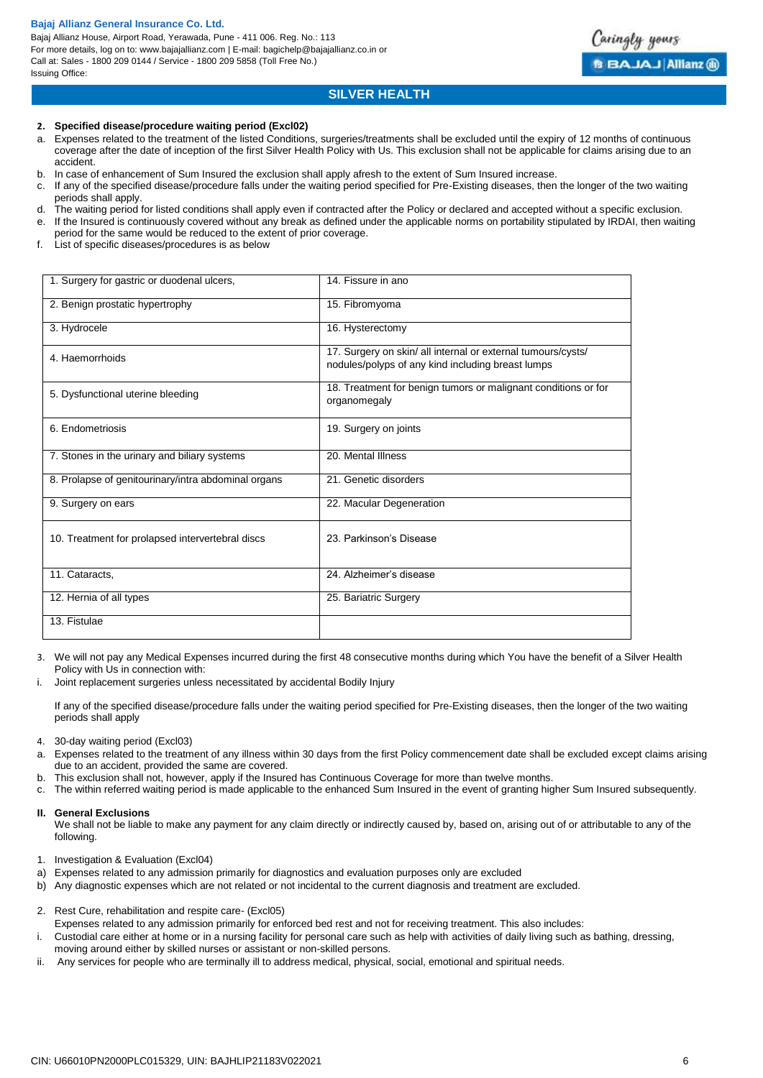Bajaj Allianz House, Airport Road, Yerawada, Pune - 411 006. Reg. No.: 113 For more details, log on to: www.bajajallianz.com | E-mail: bagichelp@bajajallianz.co.in or Call at: Sales - 1800 209 0144 / Service - 1800 209 5858 (Toll Free No.) Issuing Office:

### **SILVER HEALTH**

### **2. Specified disease/procedure waiting period (Excl02)**

- a. Expenses related to the treatment of the listed Conditions, surgeries/treatments shall be excluded until the expiry of 12 months of continuous coverage after the date of inception of the first Silver Health Policy with Us. This exclusion shall not be applicable for claims arising due to an accident.
- b. In case of enhancement of Sum Insured the exclusion shall apply afresh to the extent of Sum Insured increase.
- c. If any of the specified disease/procedure falls under the waiting period specified for Pre-Existing diseases, then the longer of the two waiting periods shall apply.
- d. The waiting period for listed conditions shall apply even if contracted after the Policy or declared and accepted without a specific exclusion.
- e. If the Insured is continuously covered without any break as defined under the applicable norms on portability stipulated by IRDAI, then waiting period for the same would be reduced to the extent of prior coverage.
- f. List of specific diseases/procedures is as below

| 1. Surgery for gastric or duodenal ulcers,          | 14. Fissure in ano                                                                                                |
|-----------------------------------------------------|-------------------------------------------------------------------------------------------------------------------|
| 2. Benign prostatic hypertrophy                     | 15. Fibromyoma                                                                                                    |
| 3. Hydrocele                                        | 16. Hysterectomy                                                                                                  |
| 4. Haemorrhoids                                     | 17. Surgery on skin/ all internal or external tumours/cysts/<br>nodules/polyps of any kind including breast lumps |
| 5. Dysfunctional uterine bleeding                   | 18. Treatment for benign tumors or malignant conditions or for<br>organomegaly                                    |
| 6. Endometriosis                                    | 19. Surgery on joints                                                                                             |
| 7. Stones in the urinary and biliary systems        | 20. Mental Illness                                                                                                |
| 8. Prolapse of genitourinary/intra abdominal organs | 21. Genetic disorders                                                                                             |
| 9. Surgery on ears                                  | 22. Macular Degeneration                                                                                          |
| 10. Treatment for prolapsed intervertebral discs    | 23. Parkinson's Disease                                                                                           |
| 11. Cataracts,                                      | 24. Alzheimer's disease                                                                                           |
| 12. Hernia of all types                             | 25. Bariatric Surgery                                                                                             |
| 13. Fistulae                                        |                                                                                                                   |

- 3. We will not pay any Medical Expenses incurred during the first 48 consecutive months during which You have the benefit of a Silver Health Policy with Us in connection with:
- i. Joint replacement surgeries unless necessitated by accidental Bodily Injury

If any of the specified disease/procedure falls under the waiting period specified for Pre-Existing diseases, then the longer of the two waiting periods shall apply

- 4. 30-day waiting period (Excl03)
- a. Expenses related to the treatment of any illness within 30 days from the first Policy commencement date shall be excluded except claims arising due to an accident, provided the same are covered.
- b. This exclusion shall not, however, apply if the Insured has Continuous Coverage for more than twelve months.
- The within referred waiting period is made applicable to the enhanced Sum Insured in the event of granting higher Sum Insured subsequently.

#### **II. General Exclusions**

We shall not be liable to make any payment for any claim directly or indirectly caused by, based on, arising out of or attributable to any of the following.

- 1. Investigation & Evaluation (Excl04)
- a) Expenses related to any admission primarily for diagnostics and evaluation purposes only are excluded
- b) Any diagnostic expenses which are not related or not incidental to the current diagnosis and treatment are excluded.
- 2. Rest Cure, rehabilitation and respite care- (Excl05)
- Expenses related to any admission primarily for enforced bed rest and not for receiving treatment. This also includes:
- i. Custodial care either at home or in a nursing facility for personal care such as help with activities of daily living such as bathing, dressing, moving around either by skilled nurses or assistant or non-skilled persons.
- ii. Any services for people who are terminally ill to address medical, physical, social, emotional and spiritual needs.

Caringly yours

**BBAJAJ Allianz (R)**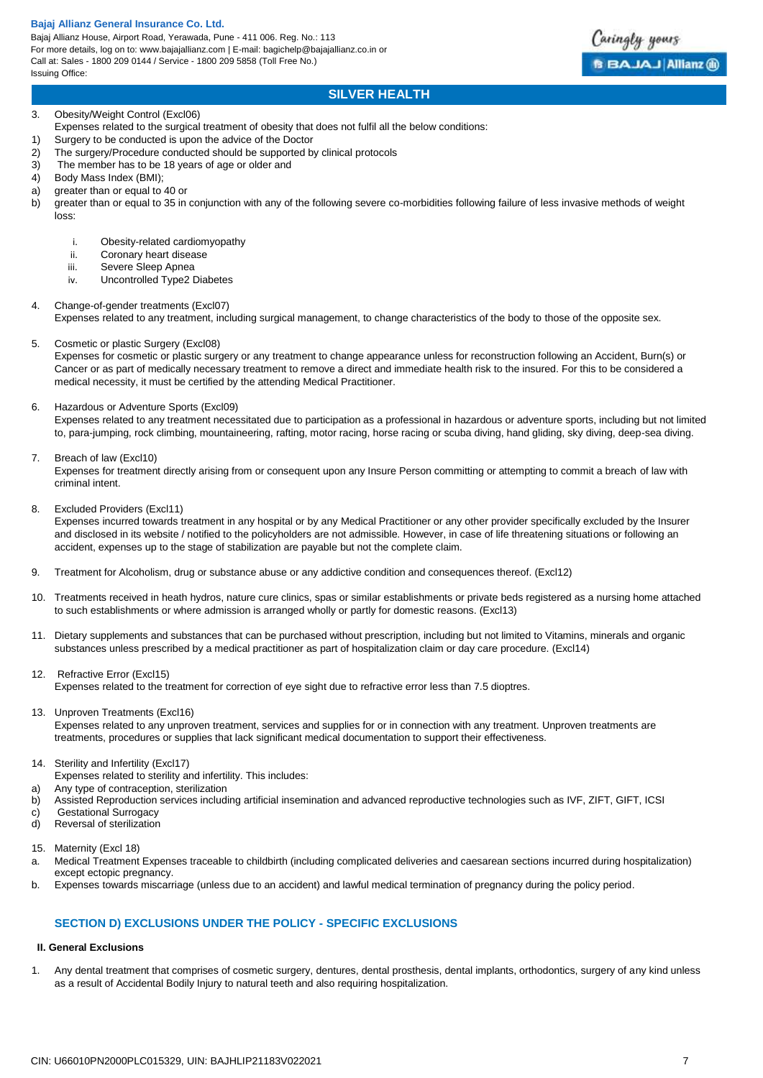Bajaj Allianz House, Airport Road, Yerawada, Pune - 411 006. Reg. No.: 113 For more details, log on to: www.bajajallianz.com | E-mail: bagichelp@bajajallianz.co.in or Call at: Sales - 1800 209 0144 / Service - 1800 209 5858 (Toll Free No.) Issuing Office:



### 3. Obesity/Weight Control (Excl06)

- Expenses related to the surgical treatment of obesity that does not fulfil all the below conditions:
- 1) Surgery to be conducted is upon the advice of the Doctor
- 2) The surgery/Procedure conducted should be supported by clinical protocols
- 3) The member has to be 18 years of age or older and
- 4) Body Mass Index (BMI);
- a) greater than or equal to 40 or
- b) greater than or equal to 35 in conjunction with any of the following severe co-morbidities following failure of less invasive methods of weight loss:
	- i. Obesity-related cardiomyopathy
	- ii. Coronary heart disease
	- iii. Severe Sleep Apnea
	- iv. Uncontrolled Type2 Diabetes

### 4. Change-of-gender treatments (Excl07)

Expenses related to any treatment, including surgical management, to change characteristics of the body to those of the opposite sex.

5. Cosmetic or plastic Surgery (Excl08)

Expenses for cosmetic or plastic surgery or any treatment to change appearance unless for reconstruction following an Accident, Burn(s) or Cancer or as part of medically necessary treatment to remove a direct and immediate health risk to the insured. For this to be considered a medical necessity, it must be certified by the attending Medical Practitioner.

6. Hazardous or Adventure Sports (Excl09)

Expenses related to any treatment necessitated due to participation as a professional in hazardous or adventure sports, including but not limited to, para-jumping, rock climbing, mountaineering, rafting, motor racing, horse racing or scuba diving, hand gliding, sky diving, deep-sea diving.

7. Breach of law (Excl10)

Expenses for treatment directly arising from or consequent upon any Insure Person committing or attempting to commit a breach of law with criminal intent.

8. Excluded Providers (Excl11)

Expenses incurred towards treatment in any hospital or by any Medical Practitioner or any other provider specifically excluded by the Insurer and disclosed in its website / notified to the policyholders are not admissible. However, in case of life threatening situations or following an accident, expenses up to the stage of stabilization are payable but not the complete claim.

- 9. Treatment for Alcoholism, drug or substance abuse or any addictive condition and consequences thereof. (Excl12)
- 10. Treatments received in heath hydros, nature cure clinics, spas or similar establishments or private beds registered as a nursing home attached to such establishments or where admission is arranged wholly or partly for domestic reasons. (Excl13)
- 11. Dietary supplements and substances that can be purchased without prescription, including but not limited to Vitamins, minerals and organic substances unless prescribed by a medical practitioner as part of hospitalization claim or day care procedure. (Excl14)
- 12. Refractive Error (Excl15) Expenses related to the treatment for correction of eye sight due to refractive error less than 7.5 dioptres.
- 13. Unproven Treatments (Excl16)
- Expenses related to any unproven treatment, services and supplies for or in connection with any treatment. Unproven treatments are treatments, procedures or supplies that lack significant medical documentation to support their effectiveness.
- 14. Sterility and Infertility (Excl17)
- Expenses related to sterility and infertility. This includes:
- a) Any type of contraception, sterilization
- b) Assisted Reproduction services including artificial insemination and advanced reproductive technologies such as IVF, ZIFT, GIFT, ICSI
- c) Gestational Surrogacy
- d) Reversal of sterilization
- 15. Maternity (Excl 18)
- a. Medical Treatment Expenses traceable to childbirth (including complicated deliveries and caesarean sections incurred during hospitalization) except ectopic pregnancy.
- b. Expenses towards miscarriage (unless due to an accident) and lawful medical termination of pregnancy during the policy period.

### **SECTION D) EXCLUSIONS UNDER THE POLICY - SPECIFIC EXCLUSIONS**

### **II. General Exclusions**

1. Any dental treatment that comprises of cosmetic surgery, dentures, dental prosthesis, dental implants, orthodontics, surgery of any kind unless as a result of Accidental Bodily Injury to natural teeth and also requiring hospitalization.

Caringly yours

**BBAJAJ Allianz @**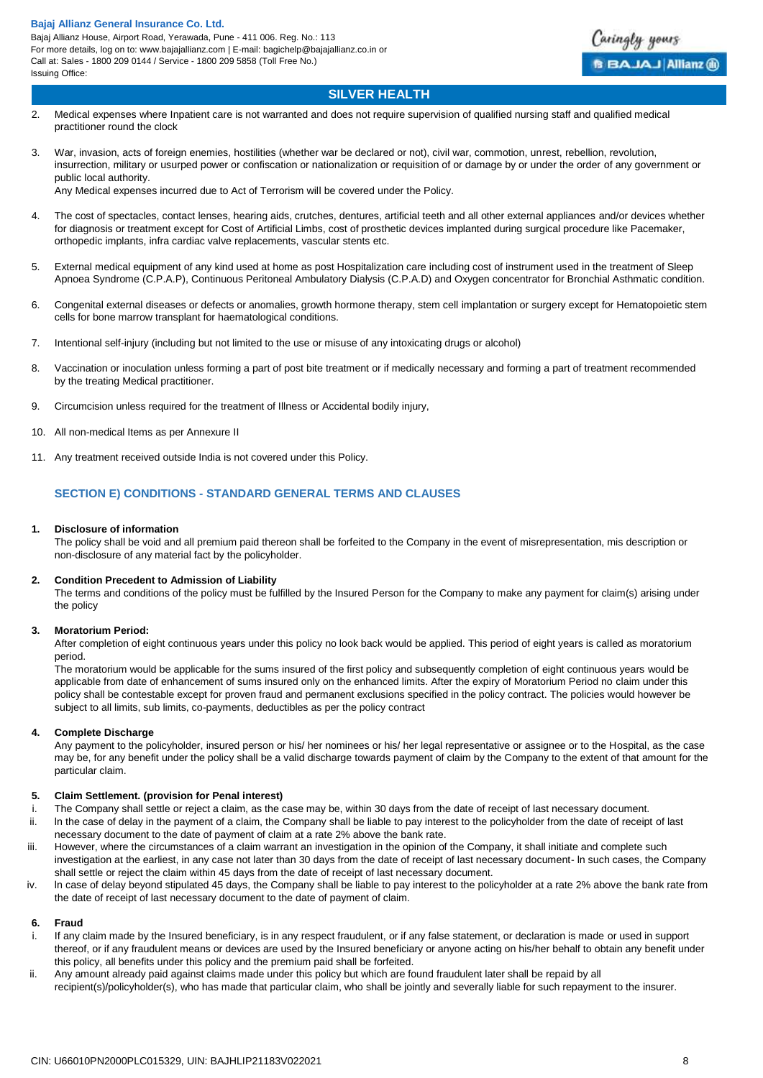

### **SILVER HEALTH**

- 2. Medical expenses where Inpatient care is not warranted and does not require supervision of qualified nursing staff and qualified medical practitioner round the clock
- 3. War, invasion, acts of foreign enemies, hostilities (whether war be declared or not), civil war, commotion, unrest, rebellion, revolution, insurrection, military or usurped power or confiscation or nationalization or requisition of or damage by or under the order of any government or public local authority.

Any Medical expenses incurred due to Act of Terrorism will be covered under the Policy.

- 4. The cost of spectacles, contact lenses, hearing aids, crutches, dentures, artificial teeth and all other external appliances and/or devices whether for diagnosis or treatment except for Cost of Artificial Limbs, cost of prosthetic devices implanted during surgical procedure like Pacemaker, orthopedic implants, infra cardiac valve replacements, vascular stents etc.
- 5. External medical equipment of any kind used at home as post Hospitalization care including cost of instrument used in the treatment of Sleep Apnoea Syndrome (C.P.A.P), Continuous Peritoneal Ambulatory Dialysis (C.P.A.D) and Oxygen concentrator for Bronchial Asthmatic condition.
- 6. Congenital external diseases or defects or anomalies, growth hormone therapy, stem cell implantation or surgery except for Hematopoietic stem cells for bone marrow transplant for haematological conditions.
- 7. Intentional self-injury (including but not limited to the use or misuse of any intoxicating drugs or alcohol)
- 8. Vaccination or inoculation unless forming a part of post bite treatment or if medically necessary and forming a part of treatment recommended by the treating Medical practitioner.
- 9. Circumcision unless required for the treatment of Illness or Accidental bodily injury,
- 10. All non-medical Items as per Annexure II
- 11. Any treatment received outside India is not covered under this Policy.

### **SECTION E) CONDITIONS - STANDARD GENERAL TERMS AND CLAUSES**

### **1. Disclosure of information**

The policy shall be void and all premium paid thereon shall be forfeited to the Company in the event of misrepresentation, mis description or non-disclosure of any material fact by the policyholder.

#### **2. Condition Precedent to Admission of Liability**

The terms and conditions of the policy must be fulfilled by the Insured Person for the Company to make any payment for claim(s) arising under the policy

### **3. Moratorium Period:**

After completion of eight continuous years under this policy no look back would be applied. This period of eight years is called as moratorium period.

The moratorium would be applicable for the sums insured of the first policy and subsequently completion of eight continuous years would be applicable from date of enhancement of sums insured only on the enhanced limits. After the expiry of Moratorium Period no claim under this policy shall be contestable except for proven fraud and permanent exclusions specified in the policy contract. The policies would however be subject to all limits, sub limits, co-payments, deductibles as per the policy contract

### **4. Complete Discharge**

Any payment to the policyholder, insured person or his/ her nominees or his/ her legal representative or assignee or to the Hospital, as the case may be, for any benefit under the policy shall be a valid discharge towards payment of claim by the Company to the extent of that amount for the particular claim.

### **5. Claim Settlement. (provision for Penal interest)**

- i. The Company shall settle or reject a claim, as the case may be, within 30 days from the date of receipt of last necessary document.
- ii. ln the case of delay in the payment of a claim, the Company shall be liable to pay interest to the policyholder from the date of receipt of last necessary document to the date of payment of claim at a rate 2% above the bank rate.
- iii. However, where the circumstances of a claim warrant an investigation in the opinion of the Company, it shall initiate and complete such investigation at the earliest, in any case not later than 30 days from the date of receipt of last necessary document- ln such cases, the Company shall settle or reject the claim within 45 days from the date of receipt of last necessary document.
- iv. ln case of delay beyond stipulated 45 days, the Company shall be liable to pay interest to the policyholder at a rate 2% above the bank rate from the date of receipt of last necessary document to the date of payment of claim.

#### **6. Fraud**

- i. If any claim made by the Insured beneficiary, is in any respect fraudulent, or if any false statement, or declaration is made or used in support thereof, or if any fraudulent means or devices are used by the Insured beneficiary or anyone acting on his/her behalf to obtain any benefit under this policy, all benefits under this policy and the premium paid shall be forfeited.
- ii. Any amount already paid against claims made under this policy but which are found fraudulent later shall be repaid by all recipient(s)/policyholder(s), who has made that particular claim, who shall be jointly and severally liable for such repayment to the insurer.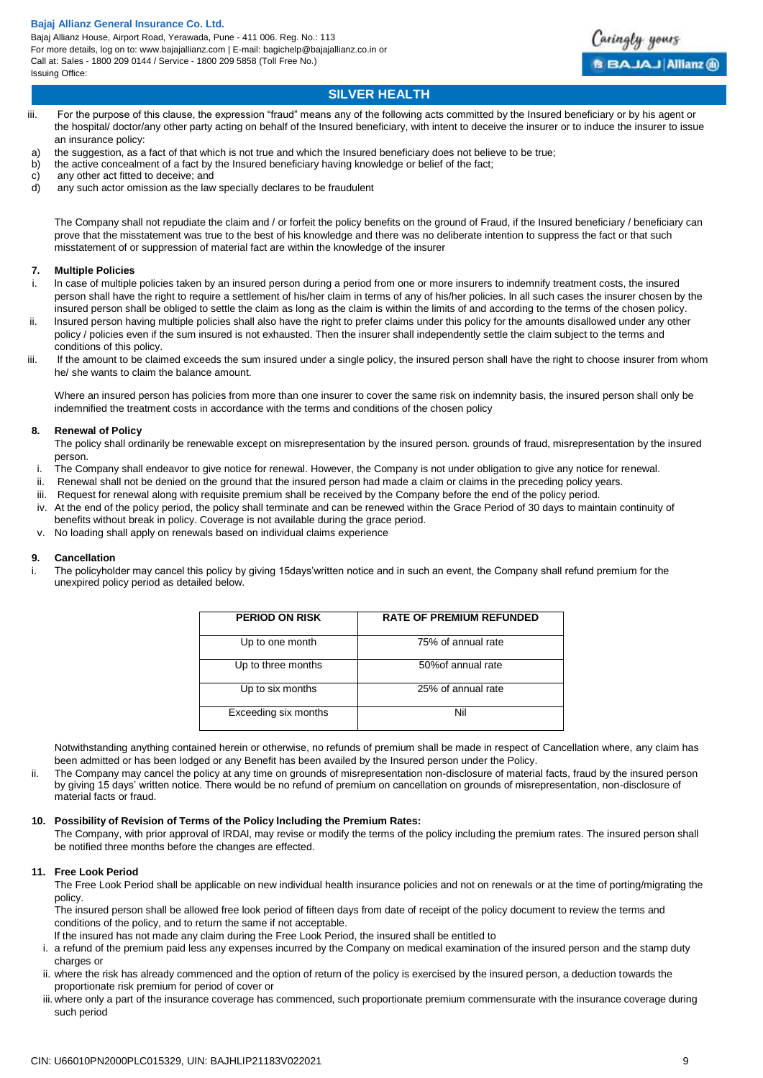

### **SILVER HEALTH**

- iii. For the purpose of this clause, the expression "fraud" means any of the following acts committed by the Insured beneficiary or by his agent or the hospital/ doctor/any other party acting on behalf of the Insured beneficiary, with intent to deceive the insurer or to induce the insurer to issue an insurance policy:
- a) the suggestion, as a fact of that which is not true and which the Insured beneficiary does not believe to be true;
- b) the active concealment of a fact by the Insured beneficiary having knowledge or belief of the fact;
- c) any other act fitted to deceive; and<br>d) any such actor omission as the law
- any such actor omission as the law specially declares to be fraudulent

The Company shall not repudiate the claim and / or forfeit the policy benefits on the ground of Fraud, if the Insured beneficiary / beneficiary can prove that the misstatement was true to the best of his knowledge and there was no deliberate intention to suppress the fact or that such misstatement of or suppression of material fact are within the knowledge of the insurer

### **7. Multiple Policies**

- In case of multiple policies taken by an insured person during a period from one or more insurers to indemnify treatment costs, the insured person shall have the right to require a settlement of his/her claim in terms of any of his/her policies. ln all such cases the insurer chosen by the insured person shall be obliged to settle the claim as long as the claim is within the limits of and according to the terms of the chosen policy.
- ii. lnsured person having multiple policies shall also have the right to prefer claims under this policy for the amounts disallowed under any other policy / policies even if the sum insured is not exhausted. Then the insurer shall independently settle the claim subject to the terms and conditions of this policy.
- iii. If the amount to be claimed exceeds the sum insured under a single policy, the insured person shall have the right to choose insurer from whom he/ she wants to claim the balance amount.

Where an insured person has policies from more than one insurer to cover the same risk on indemnity basis, the insured person shall only be indemnified the treatment costs in accordance with the terms and conditions of the chosen policy

### **8. Renewal of Policy**

The policy shall ordinarily be renewable except on misrepresentation by the insured person. grounds of fraud, misrepresentation by the insured person.

- i. The Company shall endeavor to give notice for renewal. However, the Company is not under obligation to give any notice for renewal.
- ii. Renewal shall not be denied on the ground that the insured person had made a claim or claims in the preceding policy years.
- iii. Request for renewal along with requisite premium shall be received by the Company before the end of the policy period.
- iv. At the end of the policy period, the policy shall terminate and can be renewed within the Grace Period of 30 days to maintain continuity of benefits without break in policy. Coverage is not available during the grace period.
- v. No loading shall apply on renewals based on individual claims experience

### **9. Cancellation**

i. The policyholder may cancel this policy by giving 15days'written notice and in such an event, the Company shall refund premium for the unexpired policy period as detailed below.

| <b>PERIOD ON RISK</b> | <b>RATE OF PREMIUM REFUNDED</b> |
|-----------------------|---------------------------------|
| Up to one month       | 75% of annual rate              |
| Up to three months    | 50% of annual rate              |
| Up to six months      | 25% of annual rate              |
| Exceeding six months  | Nil                             |

Notwithstanding anything contained herein or otherwise, no refunds of premium shall be made in respect of Cancellation where, any claim has been admitted or has been lodged or any Benefit has been availed by the Insured person under the Policy.

ii. The Company may cancel the policy at any time on grounds of misrepresentation non-disclosure of material facts, fraud by the insured person by giving 15 days' written notice. There would be no refund of premium on cancellation on grounds of misrepresentation, non-disclosure of material facts or fraud.

### **10. Possibility of Revision of Terms of the Policy lncluding the Premium Rates:**

The Company, with prior approval of lRDAl, may revise or modify the terms of the policy including the premium rates. The insured person shall be notified three months before the changes are effected.

### **11. Free Look Period**

The Free Look Period shall be applicable on new individual health insurance policies and not on renewals or at the time of porting/migrating the policy.

The insured person shall be allowed free look period of fifteen days from date of receipt of the policy document to review the terms and conditions of the policy, and to return the same if not acceptable.

lf the insured has not made any claim during the Free Look Period, the insured shall be entitled to

- i. a refund of the premium paid less any expenses incurred by the Company on medical examination of the insured person and the stamp duty charges or
- ii. where the risk has already commenced and the option of return of the policy is exercised by the insured person, a deduction towards the proportionate risk premium for period of cover or
- iii. where only a part of the insurance coverage has commenced, such proportionate premium commensurate with the insurance coverage during such period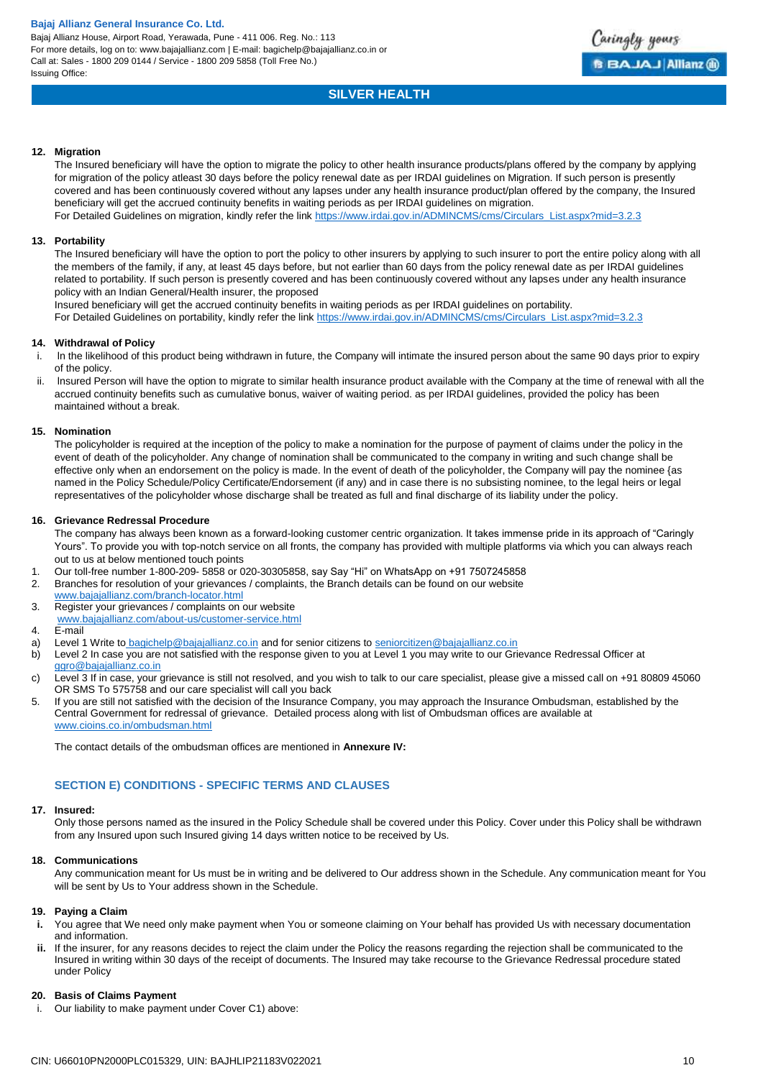

### **SILVER HEALTH**

### **12. Migration**

The Insured beneficiary will have the option to migrate the policy to other health insurance products/plans offered by the company by applying for migration of the policy atleast 30 days before the policy renewal date as per IRDAI guidelines on Migration. If such person is presently covered and has been continuously covered without any lapses under any health insurance product/plan offered by the company, the Insured beneficiary will get the accrued continuity benefits in waiting periods as per IRDAI guidelines on migration. For Detailed Guidelines on migration, kindly refer the link [https://www.irdai.gov.in/ADMINCMS/cms/Circulars\\_List.aspx?mid=3.2.3](https://www.irdai.gov.in/ADMINCMS/cms/Circulars_List.aspx?mid=3.2.3)

#### **13. Portability**

The Insured beneficiary will have the option to port the policy to other insurers by applying to such insurer to port the entire policy along with all the members of the family, if any, at least 45 days before, but not earlier than 60 days from the policy renewal date as per IRDAI guidelines related to portability. If such person is presently covered and has been continuously covered without any lapses under any health insurance policy with an Indian General/Health insurer, the proposed

Insured beneficiary will get the accrued continuity benefits in waiting periods as per IRDAI guidelines on portability.

For Detailed Guidelines on portability, kindly refer the link [https://www.irdai.gov.in/ADMINCMS/cms/Circulars\\_List.aspx?mid=3.2.3](https://www.irdai.gov.in/ADMINCMS/cms/Circulars_List.aspx?mid=3.2.3)

#### **14. Withdrawal of Policy**

- In the likelihood of this product being withdrawn in future, the Company will intimate the insured person about the same 90 days prior to expiry of the policy.
- ii. lnsured Person will have the option to migrate to similar health insurance product available with the Company at the time of renewal with all the accrued continuity benefits such as cumulative bonus, waiver of waiting period. as per IRDAI guidelines, provided the policy has been maintained without a break.

### **15. Nomination**

The policyholder is required at the inception of the policy to make a nomination for the purpose of payment of claims under the policy in the event of death of the policyholder. Any change of nomination shall be communicated to the company in writing and such change shall be effective only when an endorsement on the policy is made. ln the event of death of the policyholder, the Company will pay the nominee {as named in the Policy Schedule/Policy Certificate/Endorsement (if any) and in case there is no subsisting nominee, to the legal heirs or legal representatives of the policyholder whose discharge shall be treated as full and final discharge of its liability under the policy.

### **16. Grievance Redressal Procedure**

The company has always been known as a forward-looking customer centric organization. It takes immense pride in its approach of "Caringly Yours". To provide you with top-notch service on all fronts, the company has provided with multiple platforms via which you can always reach out to us at below mentioned touch points

- 1. Our toll-free number 1-800-209- 5858 or 020-30305858, say Say "Hi" on WhatsApp on +91 7507245858
- 2. Branches for resolution of your grievances / complaints, the Branch details can be found on our website [www.bajajallianz.com/branch-locator.html](http://www.bajajallianz.com/branch-locator.html)
- 3. Register your grievances / complaints on our website
- [www.bajajallianz.com/about-us/customer-service.html](http://www.bajajallianz.com/about-us/customer-service.html)
- 4. E-mail
- 
- a) Level 1 Write to **[bagichelp@bajajallianz.co.in](mailto:bagichelp@bajajallianz.co.in)** and for senior citizens to **seniorcitizen@bajajallianz.co.in**<br>b) Level 2 In case vou are not satisfied with the response given to you at Level 1 you may write to our Gri Level 2 In case you are not satisfied with the response given to you at Level 1 you may write to our Grievance Redressal Officer at [ggro@bajajallianz.co.in](mailto:ggro@bajajallianz.co.in)
- c) Level 3 If in case, your grievance is still not resolved, and you wish to talk to our care specialist, please give a missed call on +91 80809 45060 OR SMS To 575758 and our care specialist will call you back
- 5. If you are still not satisfied with the decision of the Insurance Company, you may approach the Insurance Ombudsman, established by the Central Government for redressal of grievance. Detailed process along with list of Ombudsman offices are available at [www.cioins.co.in/ombudsman.html](http://www.cioins.co.in/ombudsman.html)

The contact details of the ombudsman offices are mentioned in **Annexure IV:**

### **SECTION E) CONDITIONS - SPECIFIC TERMS AND CLAUSES**

### **17. Insured:**

Only those persons named as the insured in the Policy Schedule shall be covered under this Policy. Cover under this Policy shall be withdrawn from any Insured upon such Insured giving 14 days written notice to be received by Us.

### **18. Communications**

Any communication meant for Us must be in writing and be delivered to Our address shown in the Schedule. Any communication meant for You will be sent by Us to Your address shown in the Schedule.

#### **19. Paying a Claim**

- **i.** You agree that We need only make payment when You or someone claiming on Your behalf has provided Us with necessary documentation and information.
- **ii.** If the insurer, for any reasons decides to reject the claim under the Policy the reasons regarding the rejection shall be communicated to the Insured in writing within 30 days of the receipt of documents. The Insured may take recourse to the Grievance Redressal procedure stated under Policy

### **20. Basis of Claims Payment**

i. Our liability to make payment under Cover C1) above: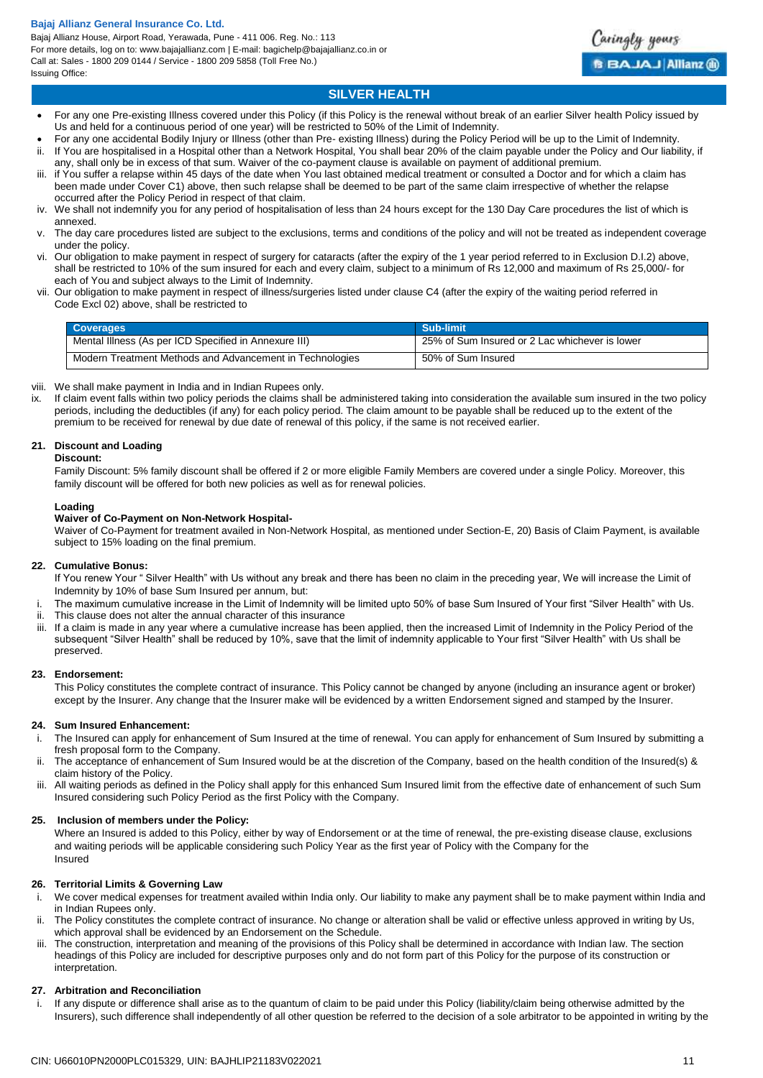Bajaj Allianz House, Airport Road, Yerawada, Pune - 411 006. Reg. No.: 113 For more details, log on to: www.bajajallianz.com | E-mail: bagichelp@bajajallianz.co.in or Call at: Sales - 1800 209 0144 / Service - 1800 209 5858 (Toll Free No.) Issuing Office:



### **SILVER HEALTH**

- For any one Pre-existing Illness covered under this Policy (if this Policy is the renewal without break of an earlier Silver health Policy issued by Us and held for a continuous period of one year) will be restricted to 50% of the Limit of Indemnity.
- For any one accidental Bodily Injury or Illness (other than Pre- existing Illness) during the Policy Period will be up to the Limit of Indemnity. ii. If You are hospitalised in a Hospital other than a Network Hospital, You shall bear 20% of the claim payable under the Policy and Our liability, if any, shall only be in excess of that sum. Waiver of the co-payment clause is available on payment of additional premium.
- iii. if You suffer a relapse within 45 days of the date when You last obtained medical treatment or consulted a Doctor and for which a claim has been made under Cover C1) above, then such relapse shall be deemed to be part of the same claim irrespective of whether the relapse occurred after the Policy Period in respect of that claim.
- iv. We shall not indemnify you for any period of hospitalisation of less than 24 hours except for the 130 Day Care procedures the list of which is annexed.
- v. The day care procedures listed are subject to the exclusions, terms and conditions of the policy and will not be treated as independent coverage under the policy.
- vi. Our obligation to make payment in respect of surgery for cataracts (after the expiry of the 1 year period referred to in Exclusion D.I.2) above, shall be restricted to 10% of the sum insured for each and every claim, subject to a minimum of Rs 12,000 and maximum of Rs 25,000/- for each of You and subject always to the Limit of Indemnity.
- vii. Our obligation to make payment in respect of illness/surgeries listed under clause C4 (after the expiry of the waiting period referred in Code Excl 02) above, shall be restricted to

| <b>Coverages</b>                                         | Sub-limit                                      |
|----------------------------------------------------------|------------------------------------------------|
| Mental Illness (As per ICD Specified in Annexure III)    | 25% of Sum Insured or 2 Lac whichever is lower |
| Modern Treatment Methods and Advancement in Technologies | 50% of Sum Insured                             |

- viii. We shall make payment in India and in Indian Rupees only.
- ix. If claim event falls within two policy periods the claims shall be administered taking into consideration the available sum insured in the two policy periods, including the deductibles (if any) for each policy period. The claim amount to be payable shall be reduced up to the extent of the premium to be received for renewal by due date of renewal of this policy, if the same is not received earlier.

### **21. Discount and Loading**

### **Discount:**

Family Discount: 5% family discount shall be offered if 2 or more eligible Family Members are covered under a single Policy. Moreover, this family discount will be offered for both new policies as well as for renewal policies.

### **Loading**

### **Waiver of Co-Payment on Non-Network Hospital-**

Waiver of Co-Payment for treatment availed in Non-Network Hospital, as mentioned under Section-E, 20) Basis of Claim Payment, is available subject to 15% loading on the final premium.

### **22. Cumulative Bonus:**

If You renew Your " Silver Health" with Us without any break and there has been no claim in the preceding year, We will increase the Limit of Indemnity by 10% of base Sum Insured per annum, but:

- i. The maximum cumulative increase in the Limit of Indemnity will be limited upto 50% of base Sum Insured of Your first "Silver Health" with Us. This clause does not alter the annual character of this insurance
- iii. If a claim is made in any year where a cumulative increase has been applied, then the increased Limit of Indemnity in the Policy Period of the subsequent "Silver Health" shall be reduced by 10%, save that the limit of indemnity applicable to Your first "Silver Health" with Us shall be preserved.

### **23. Endorsement:**

This Policy constitutes the complete contract of insurance. This Policy cannot be changed by anyone (including an insurance agent or broker) except by the Insurer. Any change that the Insurer make will be evidenced by a written Endorsement signed and stamped by the Insurer.

### **24. Sum Insured Enhancement:**

- i. The Insured can apply for enhancement of Sum Insured at the time of renewal. You can apply for enhancement of Sum Insured by submitting a fresh proposal form to the Company.
- ii. The acceptance of enhancement of Sum Insured would be at the discretion of the Company, based on the health condition of the Insured(s) & claim history of the Policy.
- iii. All waiting periods as defined in the Policy shall apply for this enhanced Sum Insured limit from the effective date of enhancement of such Sum Insured considering such Policy Period as the first Policy with the Company.

### **25. Inclusion of members under the Policy:**

Where an Insured is added to this Policy, either by way of Endorsement or at the time of renewal, the pre-existing disease clause, exclusions and waiting periods will be applicable considering such Policy Year as the first year of Policy with the Company for the Insured

### **26. Territorial Limits & Governing Law**

- i. We cover medical expenses for treatment availed within India only. Our liability to make any payment shall be to make payment within India and in Indian Rupees only.
- ii. The Policy constitutes the complete contract of insurance. No change or alteration shall be valid or effective unless approved in writing by Us, which approval shall be evidenced by an Endorsement on the Schedule.
- iii. The construction, interpretation and meaning of the provisions of this Policy shall be determined in accordance with Indian law. The section headings of this Policy are included for descriptive purposes only and do not form part of this Policy for the purpose of its construction or interpretation

### **27. Arbitration and Reconciliation**

If any dispute or difference shall arise as to the quantum of claim to be paid under this Policy (liability/claim being otherwise admitted by the Insurers), such difference shall independently of all other question be referred to the decision of a sole arbitrator to be appointed in writing by the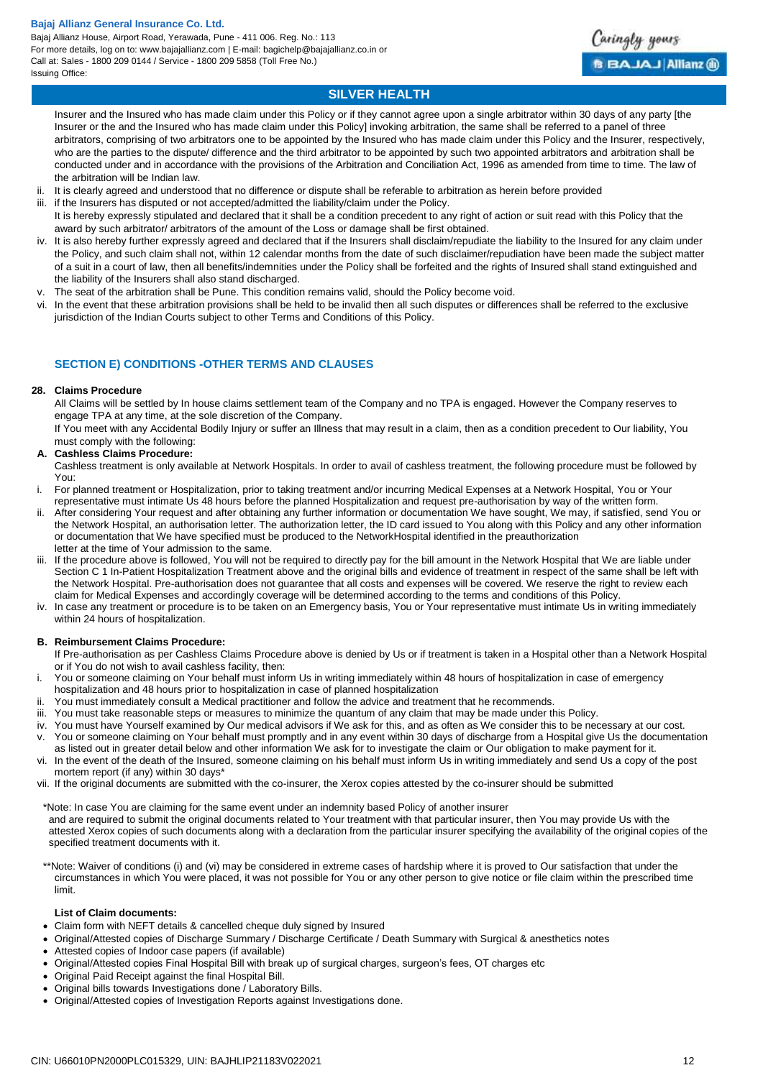Bajaj Allianz House, Airport Road, Yerawada, Pune - 411 006. Reg. No.: 113 For more details, log on to: www.bajajallianz.com | E-mail: bagichelp@bajajallianz.co.in or Call at: Sales - 1800 209 0144 / Service - 1800 209 5858 (Toll Free No.) Issuing Office:



### **SILVER HEALTH**

Insurer and the Insured who has made claim under this Policy or if they cannot agree upon a single arbitrator within 30 days of any party [the Insurer or the and the Insured who has made claim under this Policy] invoking arbitration, the same shall be referred to a panel of three arbitrators, comprising of two arbitrators one to be appointed by the Insured who has made claim under this Policy and the Insurer, respectively, who are the parties to the dispute/ difference and the third arbitrator to be appointed by such two appointed arbitrators and arbitration shall be conducted under and in accordance with the provisions of the Arbitration and Conciliation Act, 1996 as amended from time to time. The law of the arbitration will be Indian law.

- ii. It is clearly agreed and understood that no difference or dispute shall be referable to arbitration as herein before provided
- iii. if the Insurers has disputed or not accepted/admitted the liability/claim under the Policy.
- It is hereby expressly stipulated and declared that it shall be a condition precedent to any right of action or suit read with this Policy that the award by such arbitrator/ arbitrators of the amount of the Loss or damage shall be first obtained.
- iv. It is also hereby further expressly agreed and declared that if the Insurers shall disclaim/repudiate the liability to the Insured for any claim under the Policy, and such claim shall not, within 12 calendar months from the date of such disclaimer/repudiation have been made the subject matter of a suit in a court of law, then all benefits/indemnities under the Policy shall be forfeited and the rights of Insured shall stand extinguished and the liability of the Insurers shall also stand discharged.
- v. The seat of the arbitration shall be Pune. This condition remains valid, should the Policy become void.
- vi. In the event that these arbitration provisions shall be held to be invalid then all such disputes or differences shall be referred to the exclusive jurisdiction of the Indian Courts subject to other Terms and Conditions of this Policy.

# **SECTION E) CONDITIONS -OTHER TERMS AND CLAUSES**

### **28. Claims Procedure**

All Claims will be settled by In house claims settlement team of the Company and no TPA is engaged. However the Company reserves to engage TPA at any time, at the sole discretion of the Company.

If You meet with any Accidental Bodily Injury or suffer an Illness that may result in a claim, then as a condition precedent to Our liability, You must comply with the following:

### **A. Cashless Claims Procedure:**

- Cashless treatment is only available at Network Hospitals. In order to avail of cashless treatment, the following procedure must be followed by You:
- i. For planned treatment or Hospitalization, prior to taking treatment and/or incurring Medical Expenses at a Network Hospital, You or Your representative must intimate Us 48 hours before the planned Hospitalization and request pre-authorisation by way of the written form.
- ii. After considering Your request and after obtaining any further information or documentation We have sought, We may, if satisfied, send You or the Network Hospital, an authorisation letter. The authorization letter, the ID card issued to You along with this Policy and any other information or documentation that We have specified must be produced to the NetworkHospital identified in the preauthorization letter at the time of Your admission to the same.
- iii. If the procedure above is followed, You will not be required to directly pay for the bill amount in the Network Hospital that We are liable under Section C 1 In-Patient Hospitalization Treatment above and the original bills and evidence of treatment in respect of the same shall be left with the Network Hospital. Pre-authorisation does not guarantee that all costs and expenses will be covered. We reserve the right to review each claim for Medical Expenses and accordingly coverage will be determined according to the terms and conditions of this Policy.
- iv. In case any treatment or procedure is to be taken on an Emergency basis, You or Your representative must intimate Us in writing immediately within 24 hours of hospitalization.

### **B. Reimbursement Claims Procedure:**

- If Pre-authorisation as per Cashless Claims Procedure above is denied by Us or if treatment is taken in a Hospital other than a Network Hospital or if You do not wish to avail cashless facility, then:
- i. You or someone claiming on Your behalf must inform Us in writing immediately within 48 hours of hospitalization in case of emergency hospitalization and 48 hours prior to hospitalization in case of planned hospitalization
- ii. You must immediately consult a Medical practitioner and follow the advice and treatment that he recommends.
- iii. You must take reasonable steps or measures to minimize the quantum of any claim that may be made under this Policy.
- You must have Yourself examined by Our medical advisors if We ask for this, and as often as We consider this to be necessary at our cost.
- v. You or someone claiming on Your behalf must promptly and in any event within 30 days of discharge from a Hospital give Us the documentation as listed out in greater detail below and other information We ask for to investigate the claim or Our obligation to make payment for it.
- vi. In the event of the death of the Insured, someone claiming on his behalf must inform Us in writing immediately and send Us a copy of the post mortem report (if any) within 30 days\*
- vii. If the original documents are submitted with the co-insurer, the Xerox copies attested by the co-insurer should be submitted

\*Note: In case You are claiming for the same event under an indemnity based Policy of another insurer and are required to submit the original documents related to Your treatment with that particular insurer, then You may provide Us with the attested Xerox copies of such documents along with a declaration from the particular insurer specifying the availability of the original copies of the specified treatment documents with it.

\*\*Note: Waiver of conditions (i) and (vi) may be considered in extreme cases of hardship where it is proved to Our satisfaction that under the circumstances in which You were placed, it was not possible for You or any other person to give notice or file claim within the prescribed time limit.

### **List of Claim documents:**

- Claim form with NEFT details & cancelled cheque duly signed by Insured
- Original/Attested copies of Discharge Summary / Discharge Certificate / Death Summary with Surgical & anesthetics notes
- Attested copies of Indoor case papers (if available)
- Original/Attested copies Final Hospital Bill with break up of surgical charges, surgeon's fees, OT charges etc
- Original Paid Receipt against the final Hospital Bill.
- Original bills towards Investigations done / Laboratory Bills.
- Original/Attested copies of Investigation Reports against Investigations done.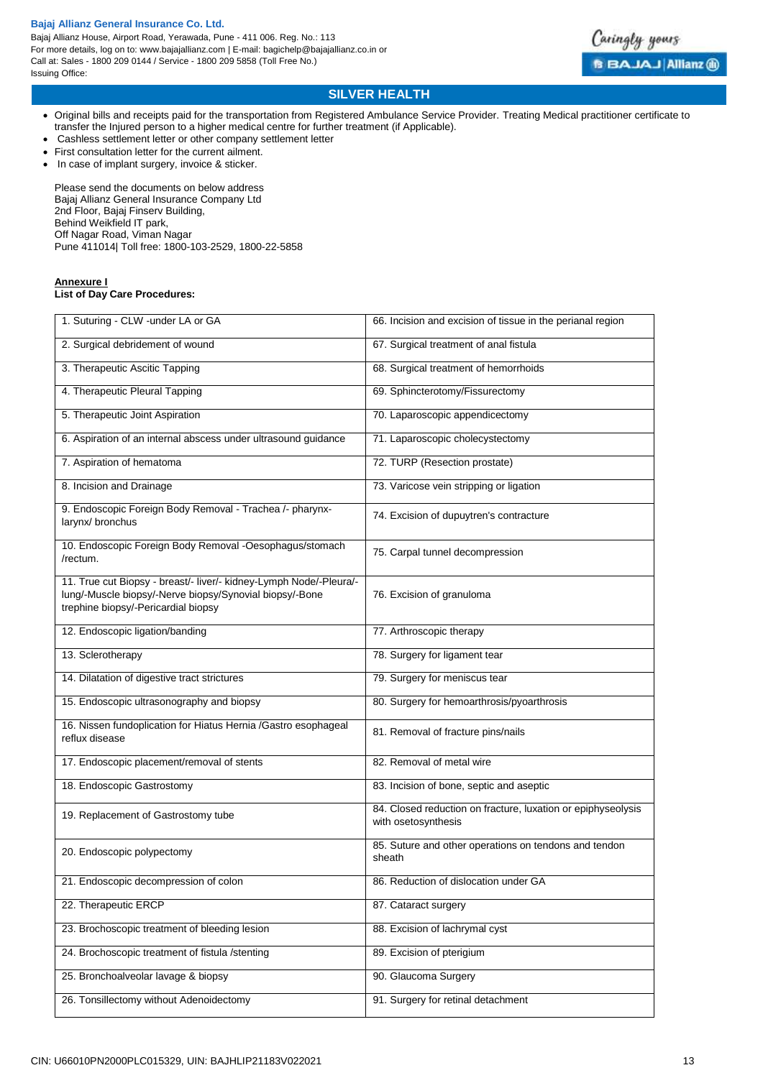Bajaj Allianz House, Airport Road, Yerawada, Pune - 411 006. Reg. No.: 113 For more details, log on to: www.bajajallianz.com | E-mail: bagichelp@bajajallianz.co.in or Call at: Sales - 1800 209 0144 / Service - 1800 209 5858 (Toll Free No.) Issuing Office:



# **SILVER HEALTH**

- Original bills and receipts paid for the transportation from Registered Ambulance Service Provider. Treating Medical practitioner certificate to transfer the Injured person to a higher medical centre for further treatment (if Applicable).
- Cashless settlement letter or other company settlement letter
- First consultation letter for the current ailment.
- In case of implant surgery, invoice & sticker.

Please send the documents on below address Bajaj Allianz General Insurance Company Ltd 2nd Floor, Bajaj Finserv Building, Behind Weikfield IT park, Off Nagar Road, Viman Nagar Pune 411014| Toll free: 1800-103-2529, 1800-22-5858

### **Annexure I List of Day Care Procedures:**

| 1. Suturing - CLW -under LA or GA                                                                                                                                    | 66. Incision and excision of tissue in the perianal region                          |
|----------------------------------------------------------------------------------------------------------------------------------------------------------------------|-------------------------------------------------------------------------------------|
| 2. Surgical debridement of wound                                                                                                                                     | 67. Surgical treatment of anal fistula                                              |
| 3. Therapeutic Ascitic Tapping                                                                                                                                       | 68. Surgical treatment of hemorrhoids                                               |
| 4. Therapeutic Pleural Tapping                                                                                                                                       | 69. Sphincterotomy/Fissurectomy                                                     |
| 5. Therapeutic Joint Aspiration                                                                                                                                      | 70. Laparoscopic appendicectomy                                                     |
| 6. Aspiration of an internal abscess under ultrasound guidance                                                                                                       | 71. Laparoscopic cholecystectomy                                                    |
| 7. Aspiration of hematoma                                                                                                                                            | 72. TURP (Resection prostate)                                                       |
| 8. Incision and Drainage                                                                                                                                             | 73. Varicose vein stripping or ligation                                             |
| 9. Endoscopic Foreign Body Removal - Trachea /- pharynx-<br>larynx/ bronchus                                                                                         | 74. Excision of dupuytren's contracture                                             |
| 10. Endoscopic Foreign Body Removal -Oesophagus/stomach<br>/rectum.                                                                                                  | 75. Carpal tunnel decompression                                                     |
| 11. True cut Biopsy - breast/- liver/- kidney-Lymph Node/-Pleura/-<br>lung/-Muscle biopsy/-Nerve biopsy/Synovial biopsy/-Bone<br>trephine biopsy/-Pericardial biopsy | 76. Excision of granuloma                                                           |
| 12. Endoscopic ligation/banding                                                                                                                                      | 77. Arthroscopic therapy                                                            |
| 13. Sclerotherapy                                                                                                                                                    | 78. Surgery for ligament tear                                                       |
| 14. Dilatation of digestive tract strictures                                                                                                                         | 79. Surgery for meniscus tear                                                       |
| 15. Endoscopic ultrasonography and biopsy                                                                                                                            | 80. Surgery for hemoarthrosis/pyoarthrosis                                          |
| 16. Nissen fundoplication for Hiatus Hernia /Gastro esophageal<br>reflux disease                                                                                     | 81. Removal of fracture pins/nails                                                  |
| 17. Endoscopic placement/removal of stents                                                                                                                           | 82. Removal of metal wire                                                           |
| 18. Endoscopic Gastrostomy                                                                                                                                           | 83. Incision of bone, septic and aseptic                                            |
| 19. Replacement of Gastrostomy tube                                                                                                                                  | 84. Closed reduction on fracture, luxation or epiphyseolysis<br>with osetosynthesis |
| 20. Endoscopic polypectomy                                                                                                                                           | 85. Suture and other operations on tendons and tendon<br>sheath                     |
| 21. Endoscopic decompression of colon                                                                                                                                | 86. Reduction of dislocation under GA                                               |
| 22. Therapeutic ERCP                                                                                                                                                 | 87. Cataract surgery                                                                |
| 23. Brochoscopic treatment of bleeding lesion                                                                                                                        | 88. Excision of lachrymal cyst                                                      |
| 24. Brochoscopic treatment of fistula /stenting                                                                                                                      | 89. Excision of pterigium                                                           |
| 25. Bronchoalveolar lavage & biopsy                                                                                                                                  | 90. Glaucoma Surgery                                                                |
| 26. Tonsillectomy without Adenoidectomy                                                                                                                              | 91. Surgery for retinal detachment                                                  |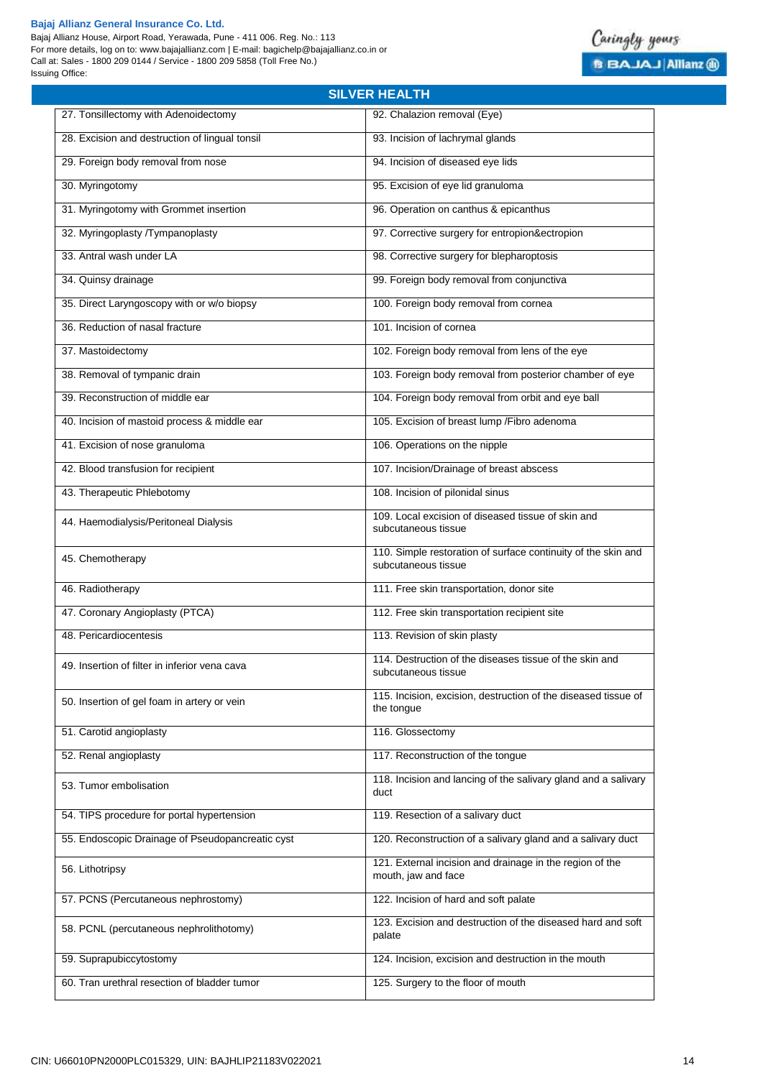Bajaj Allianz House, Airport Road, Yerawada, Pune - 411 006. Reg. No.: 113 For more details, log on to: www.bajajallianz.com | E-mail: bagichelp@bajajallianz.co.in or Call at: Sales - 1800 209 0144 / Service - 1800 209 5858 (Toll Free No.) Issuing Office:



|                                                  | <b>SILVER HEALTH</b>                                                                 |
|--------------------------------------------------|--------------------------------------------------------------------------------------|
| 27. Tonsillectomy with Adenoidectomy             | 92. Chalazion removal (Eye)                                                          |
| 28. Excision and destruction of lingual tonsil   | 93. Incision of lachrymal glands                                                     |
| 29. Foreign body removal from nose               | 94. Incision of diseased eye lids                                                    |
| 30. Myringotomy                                  | 95. Excision of eye lid granuloma                                                    |
| 31. Myringotomy with Grommet insertion           | 96. Operation on canthus & epicanthus                                                |
| 32. Myringoplasty /Tympanoplasty                 | 97. Corrective surgery for entropion&ectropion                                       |
| 33. Antral wash under LA                         | 98. Corrective surgery for blepharoptosis                                            |
| 34. Quinsy drainage                              | 99. Foreign body removal from conjunctiva                                            |
| 35. Direct Laryngoscopy with or w/o biopsy       | 100. Foreign body removal from cornea                                                |
| 36. Reduction of nasal fracture                  | 101. Incision of cornea                                                              |
| 37. Mastoidectomy                                | 102. Foreign body removal from lens of the eye                                       |
| 38. Removal of tympanic drain                    | 103. Foreign body removal from posterior chamber of eye                              |
| 39. Reconstruction of middle ear                 | 104. Foreign body removal from orbit and eye ball                                    |
| 40. Incision of mastoid process & middle ear     | 105. Excision of breast lump / Fibro adenoma                                         |
| 41. Excision of nose granuloma                   | 106. Operations on the nipple                                                        |
| 42. Blood transfusion for recipient              | 107. Incision/Drainage of breast abscess                                             |
| 43. Therapeutic Phlebotomy                       | 108. Incision of pilonidal sinus                                                     |
| 44. Haemodialysis/Peritoneal Dialysis            | 109. Local excision of diseased tissue of skin and<br>subcutaneous tissue            |
| 45. Chemotherapy                                 | 110. Simple restoration of surface continuity of the skin and<br>subcutaneous tissue |
| 46. Radiotherapy                                 | 111. Free skin transportation, donor site                                            |
| 47. Coronary Angioplasty (PTCA)                  | 112. Free skin transportation recipient site                                         |
| 48. Pericardiocentesis                           | 113. Revision of skin plasty                                                         |
| 49. Insertion of filter in inferior vena cava    | 114. Destruction of the diseases tissue of the skin and<br>subcutaneous tissue       |
| 50. Insertion of gel foam in artery or vein      | 115. Incision, excision, destruction of the diseased tissue of<br>the tongue         |
| 51. Carotid angioplasty                          | 116. Glossectomy                                                                     |
| 52. Renal angioplasty                            | 117. Reconstruction of the tongue                                                    |
| 53. Tumor embolisation                           | 118. Incision and lancing of the salivary gland and a salivary<br>duct               |
| 54. TIPS procedure for portal hypertension       | 119. Resection of a salivary duct                                                    |
| 55. Endoscopic Drainage of Pseudopancreatic cyst | 120. Reconstruction of a salivary gland and a salivary duct                          |
| 56. Lithotripsy                                  | 121. External incision and drainage in the region of the<br>mouth, jaw and face      |
| 57. PCNS (Percutaneous nephrostomy)              | 122. Incision of hard and soft palate                                                |
| 58. PCNL (percutaneous nephrolithotomy)          | 123. Excision and destruction of the diseased hard and soft<br>palate                |
| 59. Suprapubiccytostomy                          | 124. Incision, excision and destruction in the mouth                                 |
| 60. Tran urethral resection of bladder tumor     | 125. Surgery to the floor of mouth                                                   |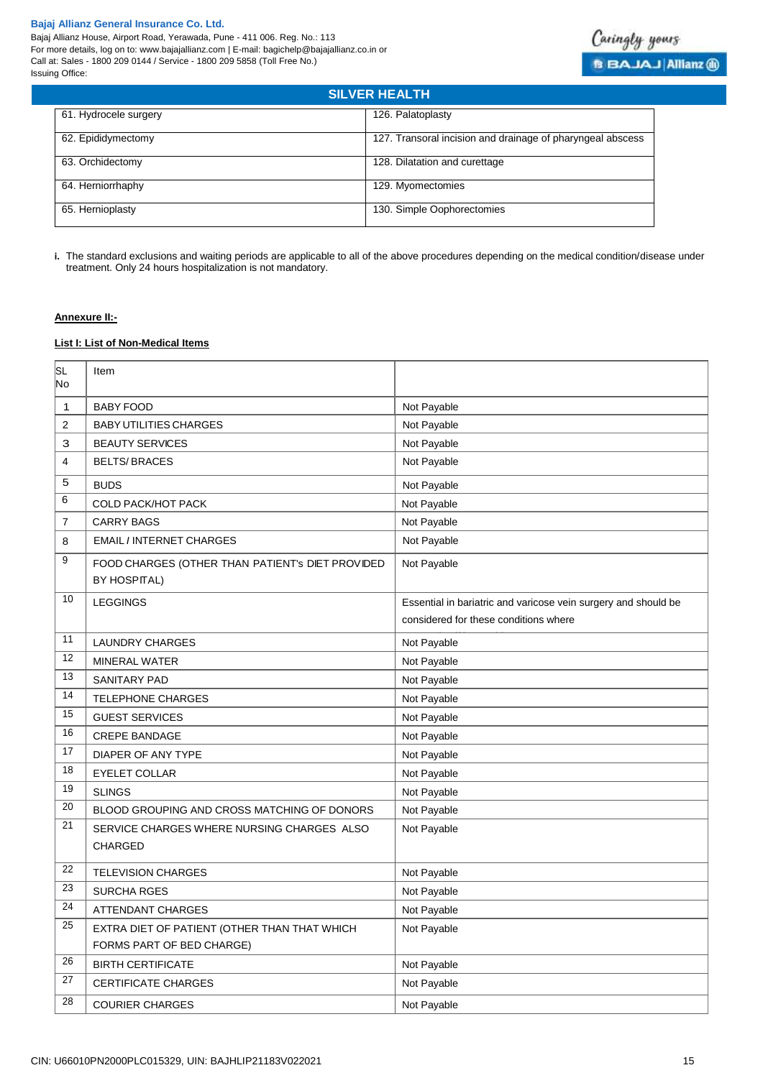

| <b>SILVER HEALTH</b>  |                                                            |
|-----------------------|------------------------------------------------------------|
| 61. Hydrocele surgery | 126. Palatoplasty                                          |
| 62. Epididymectomy    | 127. Transoral incision and drainage of pharyngeal abscess |
| 63. Orchidectomy      | 128. Dilatation and curettage                              |
| 64. Herniorrhaphy     | 129. Myomectomies                                          |
| 65. Hernioplasty      | 130. Simple Oophorectomies                                 |

**i.** The standard exclusions and waiting periods are applicable to all of the above procedures depending on the medical condition/disease under treatment. Only 24 hours hospitalization is not mandatory.

### **Annexure II:-**

# **List I: List of Non-Medical Items**

| SL<br>No                | Item                                                                    |                                                                |
|-------------------------|-------------------------------------------------------------------------|----------------------------------------------------------------|
| 1                       | <b>BABY FOOD</b>                                                        | Not Payable                                                    |
| $\overline{\mathbf{c}}$ | <b>BABY UTILITIES CHARGES</b>                                           | Not Payable                                                    |
| 3                       | <b>BEAUTY SERVICES</b>                                                  | Not Payable                                                    |
| 4                       | <b>BELTS/BRACES</b>                                                     | Not Payable                                                    |
| 5                       | <b>BUDS</b>                                                             | Not Payable                                                    |
| 6                       | <b>COLD PACK/HOT PACK</b>                                               | Not Payable                                                    |
| 7                       | <b>CARRY BAGS</b>                                                       | Not Payable                                                    |
| 8                       | <b>EMAIL / INTERNET CHARGES</b>                                         | Not Payable                                                    |
| 9                       | FOOD CHARGES (OTHER THAN PATIENT'S DIET PROVIDED<br><b>BY HOSPITAL)</b> | Not Payable                                                    |
| 10                      | <b>LEGGINGS</b>                                                         | Essential in bariatric and varicose vein surgery and should be |
|                         |                                                                         | considered for these conditions where                          |
| 11                      | <b>LAUNDRY CHARGES</b>                                                  | Not Payable                                                    |
| 12                      | <b>MINERAL WATER</b>                                                    | Not Payable                                                    |
| 13                      | <b>SANITARY PAD</b>                                                     | Not Payable                                                    |
| 14                      | <b>TELEPHONE CHARGES</b>                                                | Not Payable                                                    |
| 15                      | <b>GUEST SERVICES</b>                                                   | Not Payable                                                    |
| 16                      | <b>CREPE BANDAGE</b>                                                    | Not Payable                                                    |
| 17                      | DIAPER OF ANY TYPE                                                      | Not Payable                                                    |
| 18                      | <b>EYELET COLLAR</b>                                                    | Not Payable                                                    |
| 19                      | <b>SLINGS</b>                                                           | Not Payable                                                    |
| 20                      | BLOOD GROUPING AND CROSS MATCHING OF DONORS                             | Not Payable                                                    |
| 21                      | SERVICE CHARGES WHERE NURSING CHARGES ALSO<br><b>CHARGED</b>            | Not Payable                                                    |
| 22                      | <b>TELEVISION CHARGES</b>                                               | Not Payable                                                    |
| 23                      | <b>SURCHA RGES</b>                                                      | Not Payable                                                    |
| 24                      | <b>ATTENDANT CHARGES</b>                                                | Not Payable                                                    |
| 25                      | EXTRA DIET OF PATIENT (OTHER THAN THAT WHICH                            | Not Payable                                                    |
|                         | FORMS PART OF BED CHARGE)                                               |                                                                |
| 26                      | <b>BIRTH CERTIFICATE</b>                                                | Not Payable                                                    |
| 27                      | <b>CERTIFICATE CHARGES</b>                                              | Not Payable                                                    |
| 28                      | <b>COURIER CHARGES</b>                                                  | Not Payable                                                    |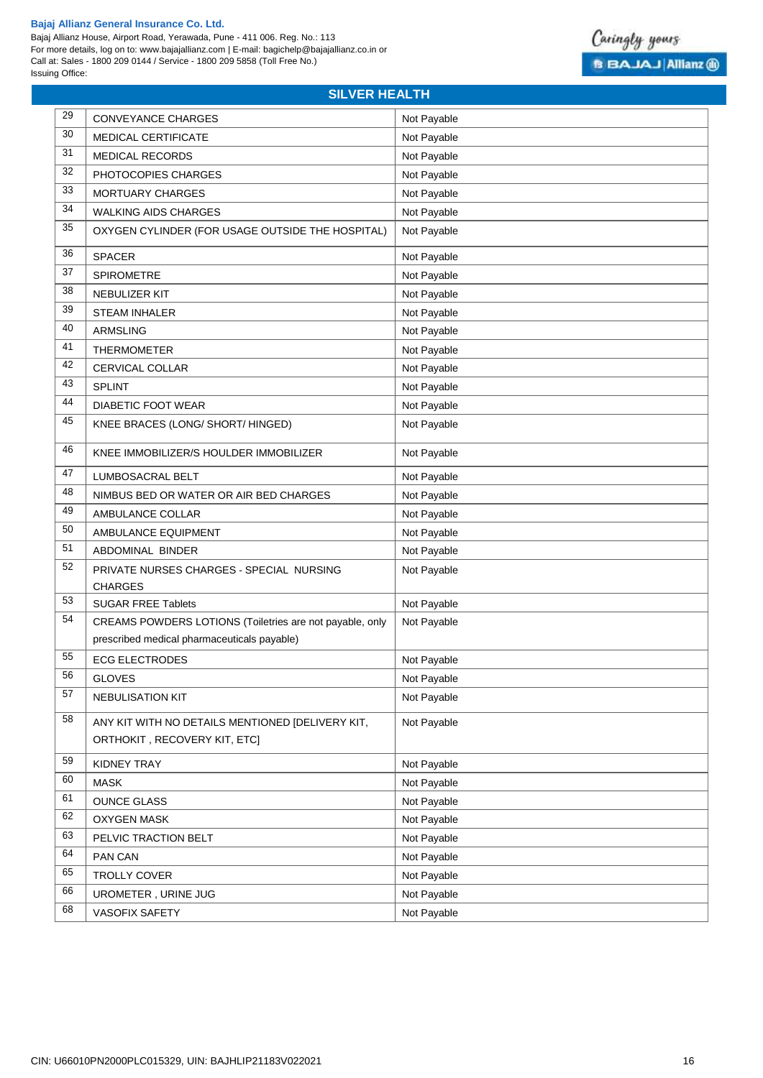Bajaj Allianz House, Airport Road, Yerawada, Pune - 411 006. Reg. No.: 113 For more details, log on to: www.bajajallianz.com | E-mail: bagichelp@bajajallianz.co.in or Call at: Sales - 1800 209 0144 / Service - 1800 209 5858 (Toll Free No.) Issuing Office:



# **SILVER HEALTH**

| 29 | <b>CONVEYANCE CHARGES</b>                                                                               | Not Payable |
|----|---------------------------------------------------------------------------------------------------------|-------------|
| 30 | MEDICAL CERTIFICATE                                                                                     | Not Payable |
| 31 | <b>MEDICAL RECORDS</b>                                                                                  | Not Payable |
| 32 | PHOTOCOPIES CHARGES                                                                                     | Not Payable |
| 33 | <b>MORTUARY CHARGES</b>                                                                                 | Not Payable |
| 34 | <b>WALKING AIDS CHARGES</b>                                                                             | Not Payable |
| 35 | OXYGEN CYLINDER (FOR USAGE OUTSIDE THE HOSPITAL)                                                        | Not Payable |
| 36 | <b>SPACER</b>                                                                                           | Not Payable |
| 37 | SPIROMETRE                                                                                              | Not Payable |
| 38 | NEBULIZER KIT                                                                                           | Not Payable |
| 39 | <b>STEAM INHALER</b>                                                                                    | Not Payable |
| 40 | <b>ARMSLING</b>                                                                                         | Not Payable |
| 41 | <b>THERMOMETER</b>                                                                                      | Not Payable |
| 42 | CERVICAL COLLAR                                                                                         | Not Payable |
| 43 | <b>SPLINT</b>                                                                                           | Not Payable |
| 44 | <b>DIABETIC FOOT WEAR</b>                                                                               | Not Payable |
| 45 | KNEE BRACES (LONG/ SHORT/ HINGED)                                                                       | Not Payable |
| 46 | KNEE IMMOBILIZER/S HOULDER IMMOBILIZER                                                                  | Not Payable |
| 47 | <b>LUMBOSACRAL BELT</b>                                                                                 | Not Payable |
| 48 | NIMBUS BED OR WATER OR AIR BED CHARGES                                                                  | Not Payable |
| 49 | AMBULANCE COLLAR                                                                                        | Not Payable |
| 50 | AMBULANCE EQUIPMENT                                                                                     | Not Payable |
| 51 | ABDOMINAL BINDER                                                                                        | Not Payable |
| 52 | PRIVATE NURSES CHARGES - SPECIAL NURSING<br><b>CHARGES</b>                                              | Not Payable |
| 53 | <b>SUGAR FREE Tablets</b>                                                                               | Not Payable |
| 54 | CREAMS POWDERS LOTIONS (Toiletries are not payable, only<br>prescribed medical pharmaceuticals payable) | Not Payable |
| 55 | <b>ECG ELECTRODES</b>                                                                                   | Not Payable |
| 56 | <b>GLOVES</b>                                                                                           | Not Payable |
| 57 | <b>NEBULISATION KIT</b>                                                                                 | Not Payable |
| 58 | ANY KIT WITH NO DETAILS MENTIONED [DELIVERY KIT,<br>ORTHOKIT, RECOVERY KIT, ETC]                        | Not Payable |
| 59 | KIDNEY TRAY                                                                                             | Not Payable |
| 60 | <b>MASK</b>                                                                                             | Not Payable |
| 61 | <b>OUNCE GLASS</b>                                                                                      | Not Payable |
| 62 | <b>OXYGEN MASK</b>                                                                                      | Not Payable |
| 63 | PELVIC TRACTION BELT                                                                                    | Not Payable |
| 64 | PAN CAN                                                                                                 | Not Payable |
| 65 | TROLLY COVER                                                                                            | Not Payable |
| 66 | UROMETER, URINE JUG                                                                                     | Not Payable |
| 68 | VASOFIX SAFETY                                                                                          | Not Payable |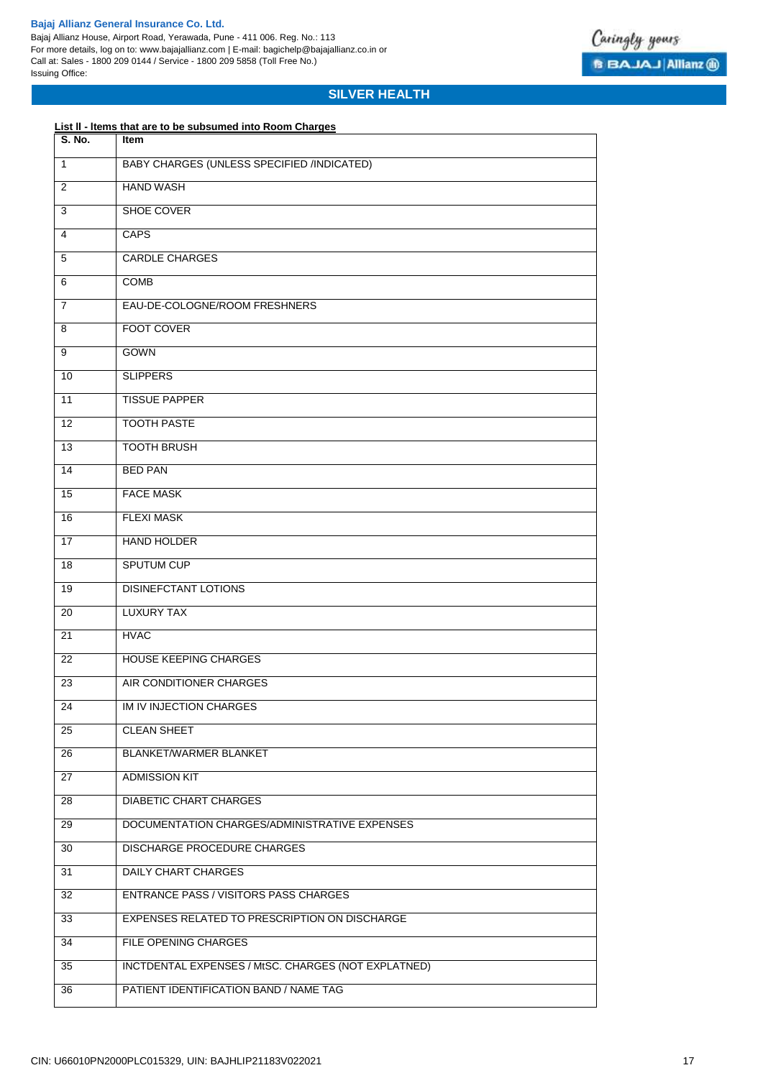Bajaj Allianz House, Airport Road, Yerawada, Pune - 411 006. Reg. No.: 113 For more details, log on to: www.bajajallianz.com | E-mail: bagichelp@bajajallianz.co.in or Call at: Sales - 1800 209 0144 / Service - 1800 209 5858 (Toll Free No.) Issuing Office:



# **SILVER HEALTH**

# **List ll - ltems that are to be subsumed into Room Charges**

| <b>S. No.</b>  | Item                                                |
|----------------|-----------------------------------------------------|
| 1              | <b>BABY CHARGES (UNLESS SPECIFIED /INDICATED)</b>   |
| 2              | <b>HAND WASH</b>                                    |
| 3              | SHOE COVER                                          |
| 4              | CAPS                                                |
| 5              | <b>CARDLE CHARGES</b>                               |
| 6              | <b>COMB</b>                                         |
| $\overline{7}$ | EAU-DE-COLOGNE/ROOM FRESHNERS                       |
| 8              | FOOT COVER                                          |
| 9              | <b>GOWN</b>                                         |
| 10             | <b>SLIPPERS</b>                                     |
| 11             | <b>TISSUE PAPPER</b>                                |
| 12             | <b>TOOTH PASTE</b>                                  |
| 13             | <b>TOOTH BRUSH</b>                                  |
| 14             | <b>BED PAN</b>                                      |
| 15             | <b>FACE MASK</b>                                    |
| 16             | <b>FLEXI MASK</b>                                   |
| 17             | <b>HAND HOLDER</b>                                  |
| 18             | <b>SPUTUM CUP</b>                                   |
| 19             | <b>DISINEFCTANT LOTIONS</b>                         |
| 20             | <b>LUXURY TAX</b>                                   |
| 21             | <b>HVAC</b>                                         |
| 22             | HOUSE KEEPING CHARGES                               |
| 23             | AIR CONDITIONER CHARGES                             |
| 24             | IM IV INJECTION CHARGES                             |
| 25             | <b>CLEAN SHEET</b>                                  |
| 26             | BLANKET/WARMER BLANKET                              |
| 27             | <b>ADMISSION KIT</b>                                |
| 28             | <b>DIABETIC CHART CHARGES</b>                       |
| 29             | DOCUMENTATION CHARGES/ADMINISTRATIVE EXPENSES       |
| 30             | <b>DISCHARGE PROCEDURE CHARGES</b>                  |
| 31             | <b>DAILY CHART CHARGES</b>                          |
| 32             | ENTRANCE PASS / VISITORS PASS CHARGES               |
| 33             | EXPENSES RELATED TO PRESCRIPTION ON DISCHARGE       |
| 34             | FILE OPENING CHARGES                                |
| 35             | INCTDENTAL EXPENSES / MtSC. CHARGES (NOT EXPLATNED) |
| 36             | PATIENT IDENTIFICATION BAND / NAME TAG              |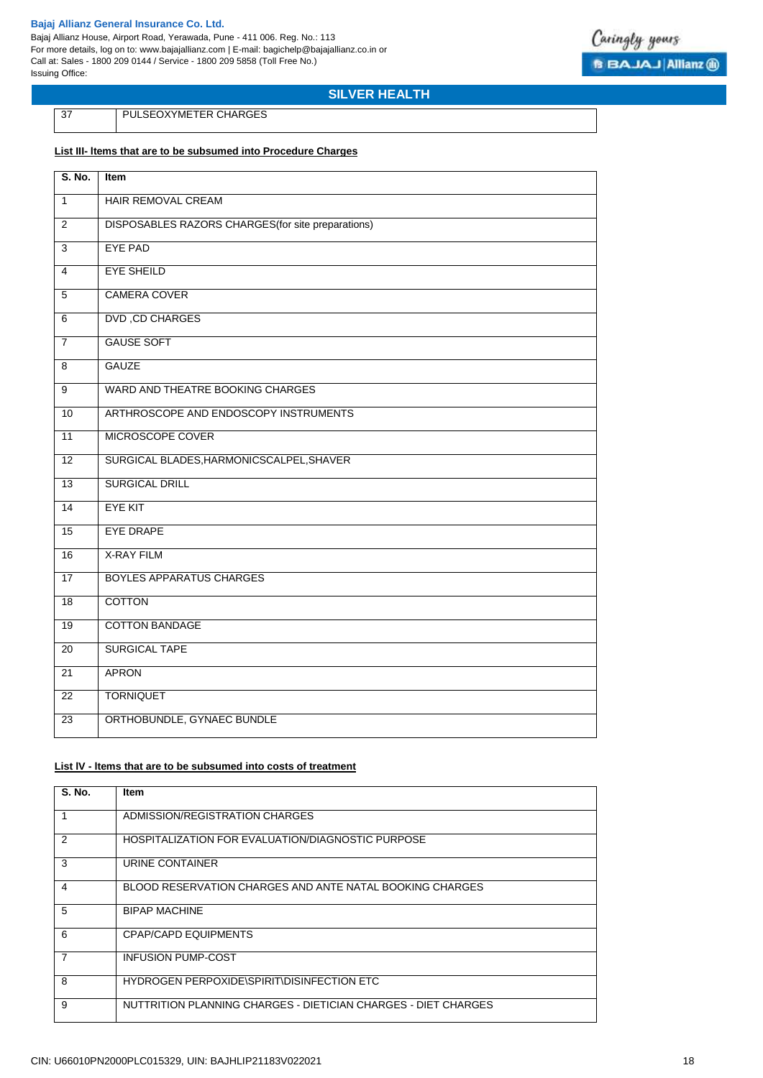Bajaj Allianz House, Airport Road, Yerawada, Pune - 411 006. Reg. No.: 113 For more details, log on to: www.bajajallianz.com | E-mail: bagichelp@bajajallianz.co.in or Call at: Sales - 1800 209 0144 / Service - 1800 209 5858 (Toll Free No.) Issuing Office:



**SILVER HEALTH**

PULSEOXYMETER CHARGES

### **List III- ltems that are to be subsumed into Procedure Charges**

| S. No.          | Item                                               |
|-----------------|----------------------------------------------------|
| $\mathbf{1}$    | HAIR REMOVAL CREAM                                 |
| $\overline{2}$  | DISPOSABLES RAZORS CHARGES (for site preparations) |
| 3               | <b>EYE PAD</b>                                     |
| 4               | <b>EYE SHEILD</b>                                  |
| $\overline{5}$  | <b>CAMERA COVER</b>                                |
| $\overline{6}$  | <b>DVD, CD CHARGES</b>                             |
| $\overline{7}$  | <b>GAUSE SOFT</b>                                  |
| 8               | <b>GAUZE</b>                                       |
| $\overline{9}$  | WARD AND THEATRE BOOKING CHARGES                   |
| 10              | ARTHROSCOPE AND ENDOSCOPY INSTRUMENTS              |
| 11              | MICROSCOPE COVER                                   |
| 12              | SURGICAL BLADES, HARMONICSCALPEL, SHAVER           |
| $\overline{13}$ | <b>SURGICAL DRILL</b>                              |
| $\overline{14}$ | <b>EYE KIT</b>                                     |
| $\overline{15}$ | <b>EYE DRAPE</b>                                   |
| 16              | <b>X-RAY FILM</b>                                  |
| 17              | <b>BOYLES APPARATUS CHARGES</b>                    |
| 18              | <b>COTTON</b>                                      |
| $\overline{19}$ | <b>COTTON BANDAGE</b>                              |
| 20              | <b>SURGICAL TAPE</b>                               |
| 21              | <b>APRON</b>                                       |
| 22              | <b>TORNIQUET</b>                                   |
| 23              | ORTHOBUNDLE, GYNAEC BUNDLE                         |

### **List lV - ltems that are to be subsumed into costs of treatment**

| <b>S. No.</b> | <b>Item</b>                                                    |
|---------------|----------------------------------------------------------------|
|               | ADMISSION/REGISTRATION CHARGES                                 |
| $\mathcal{P}$ | HOSPITALIZATION FOR EVALUATION/DIAGNOSTIC PURPOSE              |
| 3             | URINE CONTAINER                                                |
| 4             | BLOOD RESERVATION CHARGES AND ANTE NATAL BOOKING CHARGES       |
| 5             | <b>BIPAP MACHINE</b>                                           |
| 6             | CPAP/CAPD EQUIPMENTS                                           |
| 7             | <b>INFUSION PUMP-COST</b>                                      |
| 8             | HYDROGEN PERPOXIDE\SPIRIT\DISINFECTION ETC                     |
| 9             | NUTTRITION PLANNING CHARGES - DIETICIAN CHARGES - DIET CHARGES |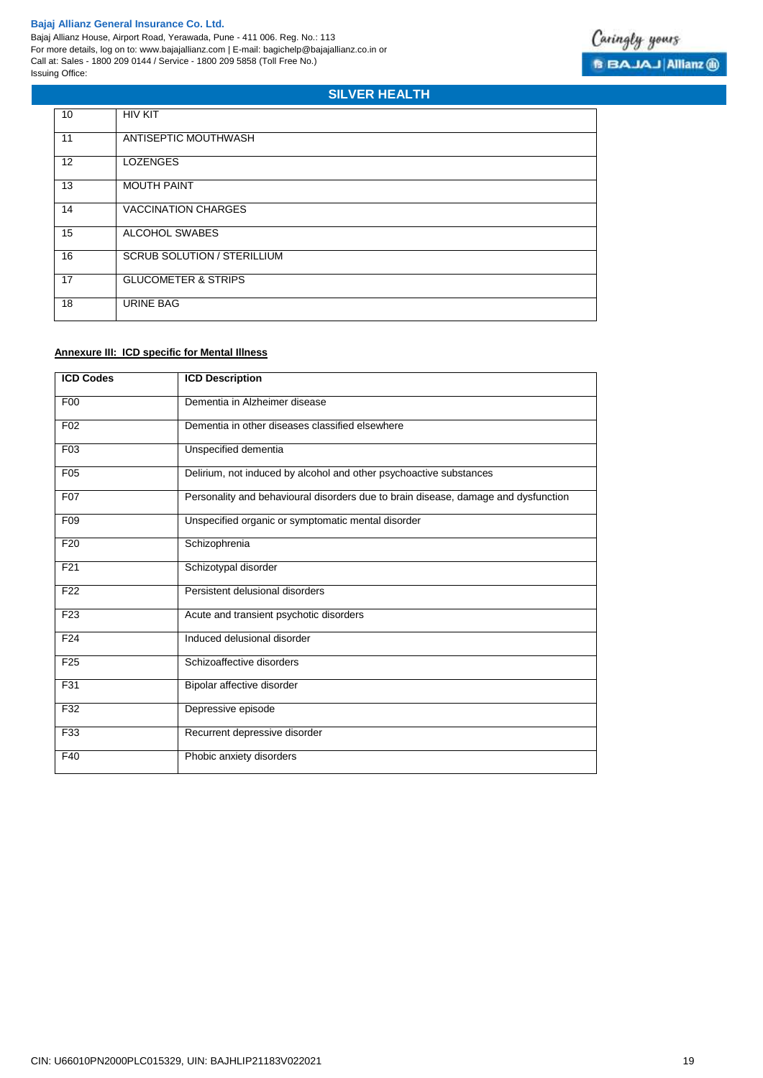5

# **SILVER HEALTH**

| 10 | <b>HIV KIT</b>                     |
|----|------------------------------------|
| 11 | ANTISEPTIC MOUTHWASH               |
| 12 | <b>LOZENGES</b>                    |
| 13 | <b>MOUTH PAINT</b>                 |
| 14 | <b>VACCINATION CHARGES</b>         |
| 15 | ALCOHOL SWABES                     |
| 16 | <b>SCRUB SOLUTION / STERILLIUM</b> |
| 17 | <b>GLUCOMETER &amp; STRIPS</b>     |
| 18 | <b>URINE BAG</b>                   |

# **Annexure III: ICD specific for Mental Illness**

| <b>ICD Codes</b> | <b>ICD Description</b>                                                             |
|------------------|------------------------------------------------------------------------------------|
| F <sub>0</sub>   | Dementia in Alzheimer disease                                                      |
| F <sub>02</sub>  | Dementia in other diseases classified elsewhere                                    |
| F <sub>03</sub>  | Unspecified dementia                                                               |
| F05              | Delirium, not induced by alcohol and other psychoactive substances                 |
| F07              | Personality and behavioural disorders due to brain disease, damage and dysfunction |
| F <sub>09</sub>  | Unspecified organic or symptomatic mental disorder                                 |
| F <sub>20</sub>  | Schizophrenia                                                                      |
| F <sub>21</sub>  | Schizotypal disorder                                                               |
| F <sub>22</sub>  | Persistent delusional disorders                                                    |
| F <sub>23</sub>  | Acute and transient psychotic disorders                                            |
| F <sub>24</sub>  | Induced delusional disorder                                                        |
| F <sub>25</sub>  | Schizoaffective disorders                                                          |
| F31              | Bipolar affective disorder                                                         |
| F32              | Depressive episode                                                                 |
| F33              | Recurrent depressive disorder                                                      |
| F40              | Phobic anxiety disorders                                                           |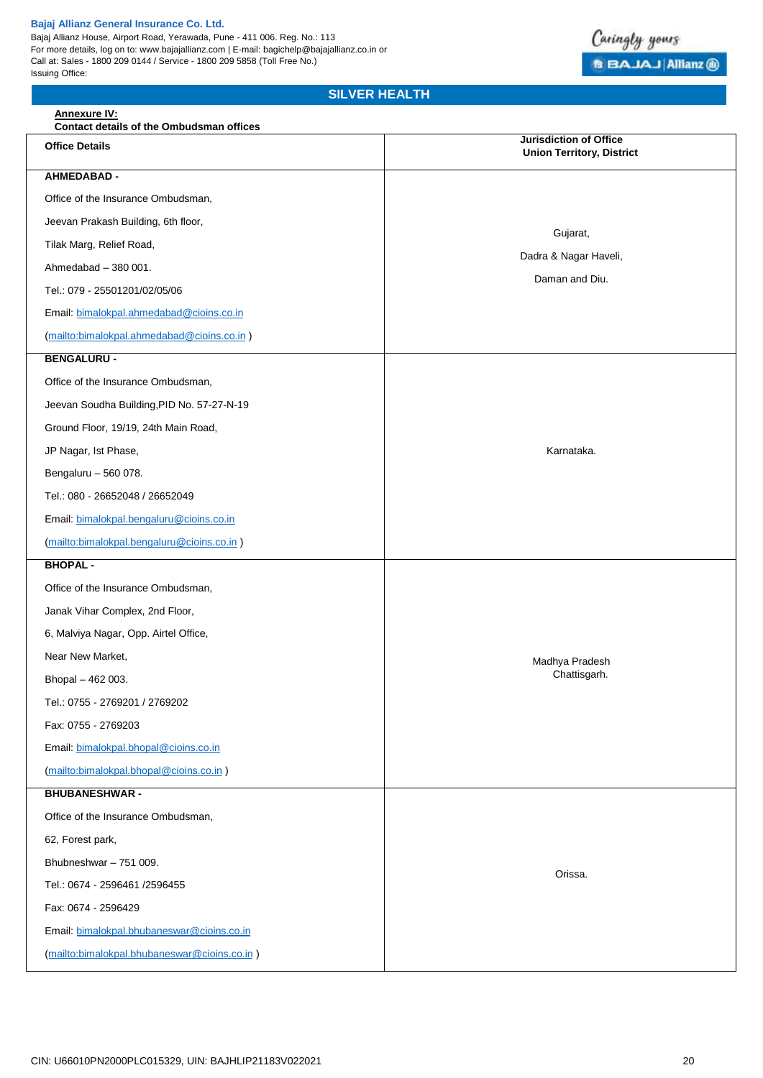Bajaj Allianz House, Airport Road, Yerawada, Pune - 411 006. Reg. No.: 113 For more details, log on to: www.bajajallianz.com | E-mail: bagichelp@bajajallianz.co.in or Call at: Sales - 1800 209 0144 / Service - 1800 209 5858 (Toll Free No.) Issuing Office:



# **SILVER HEALTH**

| <b>Annexure IV:</b><br>Contact details of the Ombudsman offices |                                                                   |  |  |
|-----------------------------------------------------------------|-------------------------------------------------------------------|--|--|
| <b>Office Details</b>                                           | <b>Jurisdiction of Office</b><br><b>Union Territory, District</b> |  |  |
| <b>AHMEDABAD -</b>                                              |                                                                   |  |  |
| Office of the Insurance Ombudsman,                              |                                                                   |  |  |
| Jeevan Prakash Building, 6th floor,                             | Gujarat,                                                          |  |  |
| Tilak Marg, Relief Road,                                        | Dadra & Nagar Haveli,                                             |  |  |
| Ahmedabad - 380 001.                                            | Daman and Diu.                                                    |  |  |
| Tel.: 079 - 25501201/02/05/06                                   |                                                                   |  |  |
| Email: bimalokpal.ahmedabad@cioins.co.in                        |                                                                   |  |  |
| (mailto:bimalokpal.ahmedabad@cioins.co.in)                      |                                                                   |  |  |
| <b>BENGALURU -</b>                                              |                                                                   |  |  |
| Office of the Insurance Ombudsman,                              |                                                                   |  |  |
| Jeevan Soudha Building, PID No. 57-27-N-19                      |                                                                   |  |  |
| Ground Floor, 19/19, 24th Main Road,                            |                                                                   |  |  |
| JP Nagar, Ist Phase,                                            | Karnataka.                                                        |  |  |
| Bengaluru - 560 078.                                            |                                                                   |  |  |
| Tel.: 080 - 26652048 / 26652049                                 |                                                                   |  |  |
| Email: bimalokpal.bengaluru@cioins.co.in                        |                                                                   |  |  |
| (mailto:bimalokpal.bengaluru@cioins.co.in)                      |                                                                   |  |  |
| <b>BHOPAL -</b>                                                 |                                                                   |  |  |
| Office of the Insurance Ombudsman,                              |                                                                   |  |  |
| Janak Vihar Complex, 2nd Floor,                                 |                                                                   |  |  |
| 6, Malviya Nagar, Opp. Airtel Office,                           | Madhya Pradesh<br>Chattisgarh.                                    |  |  |
| Near New Market,                                                |                                                                   |  |  |
| Bhopal - 462 003.                                               |                                                                   |  |  |
| Tel.: 0755 - 2769201 / 2769202                                  |                                                                   |  |  |
| Fax: 0755 - 2769203                                             |                                                                   |  |  |
| Email: bimalokpal.bhopal@cioins.co.in                           |                                                                   |  |  |
| (mailto:bimalokpal.bhopal@cioins.co.in)                         |                                                                   |  |  |
| <b>BHUBANESHWAR -</b>                                           |                                                                   |  |  |
| Office of the Insurance Ombudsman,                              |                                                                   |  |  |
| 62, Forest park,                                                |                                                                   |  |  |
| Bhubneshwar - 751 009.                                          | Orissa.                                                           |  |  |
| Tel.: 0674 - 2596461 /2596455                                   |                                                                   |  |  |
| Fax: 0674 - 2596429                                             |                                                                   |  |  |
| Email: bimalokpal.bhubaneswar@cioins.co.in                      |                                                                   |  |  |
| (mailto:bimalokpal.bhubaneswar@cioins.co.in)                    |                                                                   |  |  |
|                                                                 |                                                                   |  |  |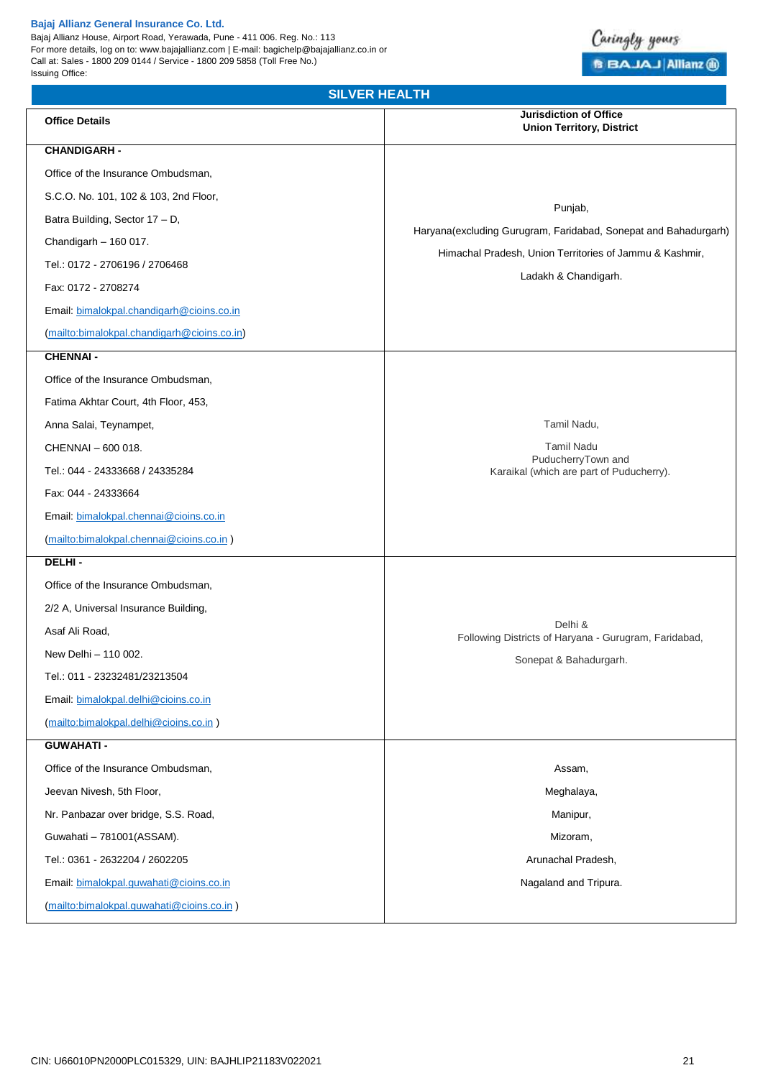Bajaj Allianz House, Airport Road, Yerawada, Pune - 411 006. Reg. No.: 113 For more details, log on to: www.bajajallianz.com | E-mail: bagichelp@bajajallianz.co.in or Call at: Sales - 1800 209 0144 / Service - 1800 209 5858 (Toll Free No.) Issuing Office:

# Caringly yours **B BAJAJ Allianz @**

| <b>SILVER HEALTH</b>                        |                                                                                            |  |  |
|---------------------------------------------|--------------------------------------------------------------------------------------------|--|--|
| <b>Office Details</b>                       | <b>Jurisdiction of Office</b><br><b>Union Territory, District</b>                          |  |  |
| <b>CHANDIGARH -</b>                         |                                                                                            |  |  |
| Office of the Insurance Ombudsman,          |                                                                                            |  |  |
| S.C.O. No. 101, 102 & 103, 2nd Floor,       |                                                                                            |  |  |
| Batra Building, Sector 17 - D,              | Punjab,<br>Haryana(excluding Gurugram, Faridabad, Sonepat and Bahadurgarh)                 |  |  |
| Chandigarh - 160 017.                       |                                                                                            |  |  |
| Tel.: 0172 - 2706196 / 2706468              | Himachal Pradesh, Union Territories of Jammu & Kashmir,                                    |  |  |
| Fax: 0172 - 2708274                         | Ladakh & Chandigarh.                                                                       |  |  |
| Email: bimalokpal.chandigarh@cioins.co.in   |                                                                                            |  |  |
| (mailto:bimalokpal.chandigarh@cioins.co.in) |                                                                                            |  |  |
| <b>CHENNAI-</b>                             |                                                                                            |  |  |
| Office of the Insurance Ombudsman,          |                                                                                            |  |  |
| Fatima Akhtar Court, 4th Floor, 453,        |                                                                                            |  |  |
| Anna Salai, Teynampet,                      | Tamil Nadu,                                                                                |  |  |
| CHENNAI - 600 018.                          | <b>Tamil Nadu</b><br>PuducherryTown and<br>Karaikal (which are part of Puducherry).        |  |  |
| Tel.: 044 - 24333668 / 24335284             |                                                                                            |  |  |
| Fax: 044 - 24333664                         |                                                                                            |  |  |
| Email: bimalokpal.chennai@cioins.co.in      |                                                                                            |  |  |
| (mailto:bimalokpal.chennai@cioins.co.in)    |                                                                                            |  |  |
| DELHI-                                      |                                                                                            |  |  |
| Office of the Insurance Ombudsman,          | Delhi &<br>Following Districts of Haryana - Gurugram, Faridabad,<br>Sonepat & Bahadurgarh. |  |  |
| 2/2 A, Universal Insurance Building,        |                                                                                            |  |  |
| Asaf Ali Road,                              |                                                                                            |  |  |
| New Delhi - 110 002.                        |                                                                                            |  |  |
| Tel.: 011 - 23232481/23213504               |                                                                                            |  |  |
| Email: bimalokpal.delhi@cioins.co.in        |                                                                                            |  |  |
| (mailto:bimalokpal.delhi@cioins.co.in)      |                                                                                            |  |  |
| <b>GUWAHATI -</b>                           |                                                                                            |  |  |
| Office of the Insurance Ombudsman,          | Assam,                                                                                     |  |  |
| Jeevan Nivesh, 5th Floor,                   | Meghalaya,                                                                                 |  |  |
| Nr. Panbazar over bridge, S.S. Road,        | Manipur,                                                                                   |  |  |
| Guwahati - 781001(ASSAM).                   | Mizoram,                                                                                   |  |  |
| Tel.: 0361 - 2632204 / 2602205              | Arunachal Pradesh,                                                                         |  |  |
| Email: bimalokpal.guwahati@cioins.co.in     | Nagaland and Tripura.                                                                      |  |  |
| (mailto:bimalokpal.guwahati@cioins.co.in)   |                                                                                            |  |  |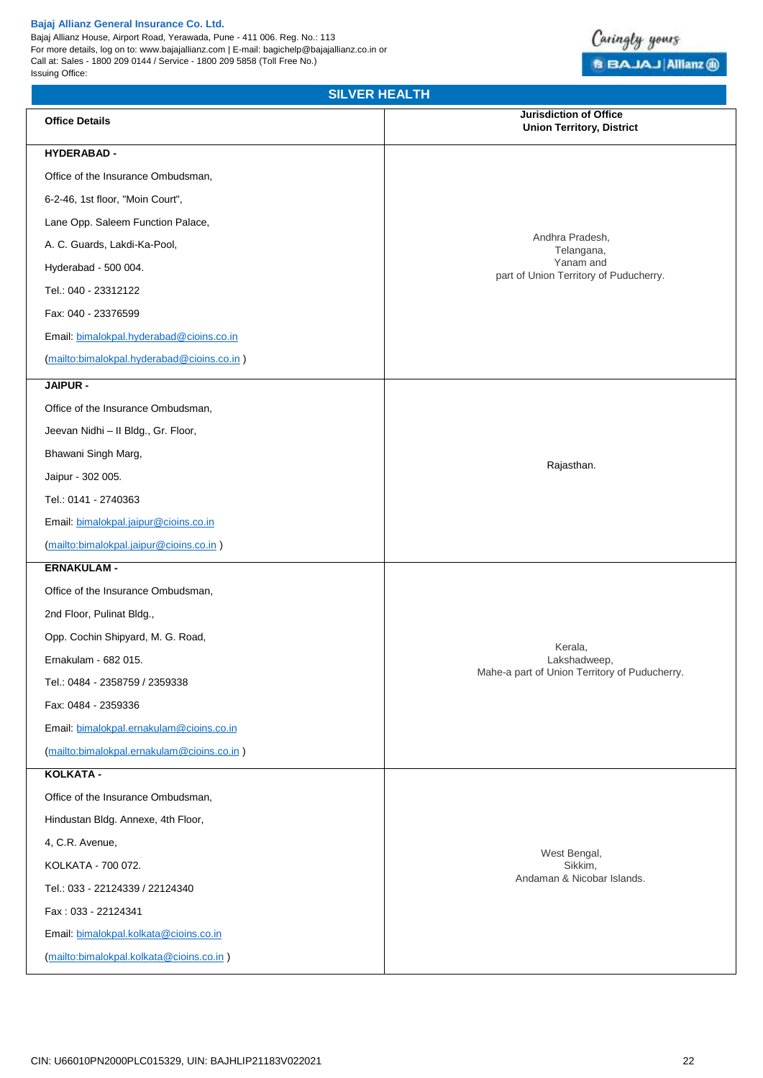Bajaj Allianz House, Airport Road, Yerawada, Pune - 411 006. Reg. No.: 113 For more details, log on to: www.bajajallianz.com | E-mail: bagichelp@bajajallianz.co.in or Call at: Sales - 1800 209 0144 / Service - 1800 209 5858 (Toll Free No.) Issuing Office:



# **SILVER HEALTH**

| <b>Office Details</b>                      | <b>Jurisdiction of Office</b><br><b>Union Territory, District</b>                    |  |
|--------------------------------------------|--------------------------------------------------------------------------------------|--|
| <b>HYDERABAD -</b>                         |                                                                                      |  |
| Office of the Insurance Ombudsman,         | Andhra Pradesh,<br>Telangana,<br>Yanam and<br>part of Union Territory of Puducherry. |  |
| 6-2-46, 1st floor, "Moin Court",           |                                                                                      |  |
| Lane Opp. Saleem Function Palace,          |                                                                                      |  |
| A. C. Guards, Lakdi-Ka-Pool,               |                                                                                      |  |
| Hyderabad - 500 004.                       |                                                                                      |  |
| Tel.: 040 - 23312122                       |                                                                                      |  |
| Fax: 040 - 23376599                        |                                                                                      |  |
| Email: bimalokpal.hyderabad@cioins.co.in   |                                                                                      |  |
| (mailto:bimalokpal.hyderabad@cioins.co.in) |                                                                                      |  |
| JAIPUR -                                   |                                                                                      |  |
| Office of the Insurance Ombudsman,         |                                                                                      |  |
| Jeevan Nidhi - II Bldg., Gr. Floor,        | Rajasthan.                                                                           |  |
| Bhawani Singh Marg,                        |                                                                                      |  |
| Jaipur - 302 005.                          |                                                                                      |  |
| Tel.: 0141 - 2740363                       |                                                                                      |  |
| Email: bimalokpal.jaipur@cioins.co.in      |                                                                                      |  |
| (mailto:bimalokpal.jaipur@cioins.co.in)    |                                                                                      |  |
| <b>ERNAKULAM -</b>                         |                                                                                      |  |
| Office of the Insurance Ombudsman,         | Kerala,<br>Lakshadweep,<br>Mahe-a part of Union Territory of Puducherry.             |  |
| 2nd Floor, Pulinat Bldg.,                  |                                                                                      |  |
| Opp. Cochin Shipyard, M. G. Road,          |                                                                                      |  |
| Ernakulam - 682 015.                       |                                                                                      |  |
| Tel.: 0484 - 2358759 / 2359338             |                                                                                      |  |
| Fax: 0484 - 2359336                        |                                                                                      |  |
| Email: bimalokpal.ernakulam@cioins.co.in   |                                                                                      |  |
| (mailto:bimalokpal.ernakulam@cioins.co.in) |                                                                                      |  |
| KOLKATA -                                  |                                                                                      |  |
| Office of the Insurance Ombudsman,         |                                                                                      |  |
| Hindustan Bldg. Annexe, 4th Floor,         | West Bengal,<br>Sikkim,<br>Andaman & Nicobar Islands.                                |  |
| 4, C.R. Avenue,                            |                                                                                      |  |
| KOLKATA - 700 072.                         |                                                                                      |  |
| Tel.: 033 - 22124339 / 22124340            |                                                                                      |  |
| Fax: 033 - 22124341                        |                                                                                      |  |
| Email: bimalokpal.kolkata@cioins.co.in     |                                                                                      |  |
| (mailto:bimalokpal.kolkata@cioins.co.in)   |                                                                                      |  |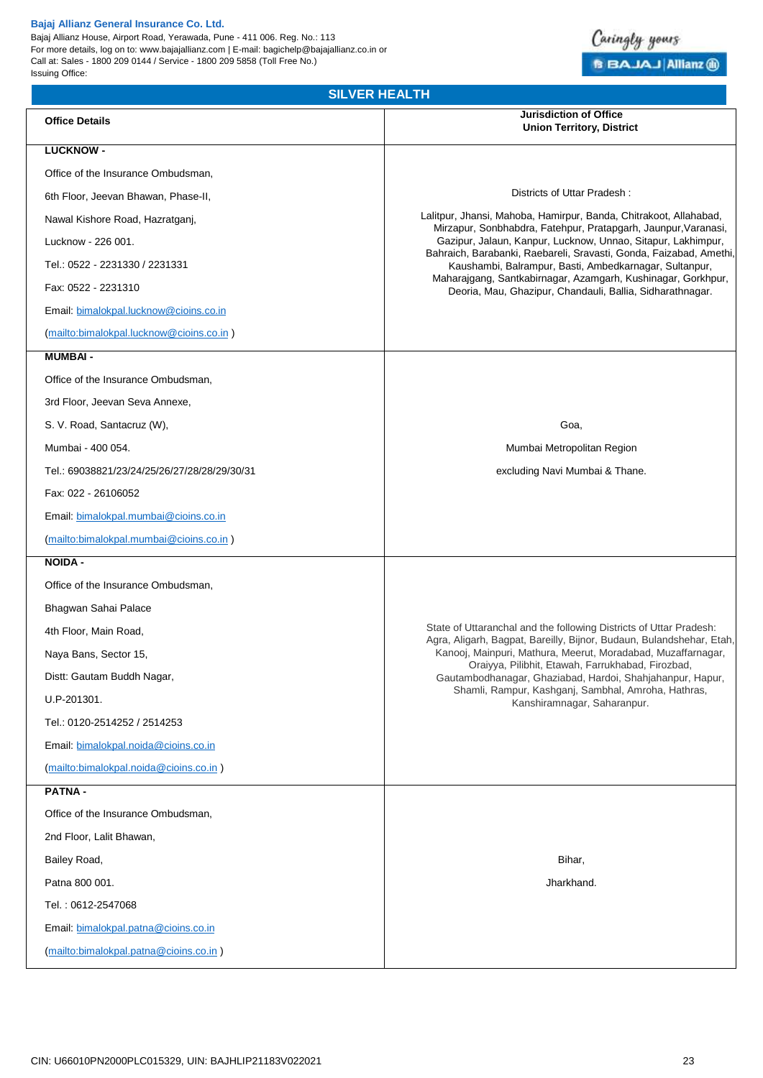Bajaj Allianz House, Airport Road, Yerawada, Pune - 411 006. Reg. No.: 113 For more details, log on to: www.bajajallianz.com | E-mail: bagichelp@bajajallianz.co.in or Call at: Sales - 1800 209 0144 / Service - 1800 209 5858 (Toll Free No.) Issuing Office:



# **SILVER HEALTH**

| <b>Office Details</b>                        | <b>Jurisdiction of Office</b><br><b>Union Territory, District</b>                                                                                                                                                                                                                                                                                                                   |
|----------------------------------------------|-------------------------------------------------------------------------------------------------------------------------------------------------------------------------------------------------------------------------------------------------------------------------------------------------------------------------------------------------------------------------------------|
| <b>LUCKNOW -</b>                             |                                                                                                                                                                                                                                                                                                                                                                                     |
| Office of the Insurance Ombudsman,           |                                                                                                                                                                                                                                                                                                                                                                                     |
| 6th Floor, Jeevan Bhawan, Phase-II,          | Districts of Uttar Pradesh:                                                                                                                                                                                                                                                                                                                                                         |
| Nawal Kishore Road, Hazratganj,              | Lalitpur, Jhansi, Mahoba, Hamirpur, Banda, Chitrakoot, Allahabad,<br>Mirzapur, Sonbhabdra, Fatehpur, Pratapgarh, Jaunpur, Varanasi,<br>Gazipur, Jalaun, Kanpur, Lucknow, Unnao, Sitapur, Lakhimpur,<br>Bahraich, Barabanki, Raebareli, Sravasti, Gonda, Faizabad, Amethi,<br>Kaushambi, Balrampur, Basti, Ambedkarnagar, Sultanpur,                                                 |
| Lucknow - 226 001.                           |                                                                                                                                                                                                                                                                                                                                                                                     |
| Tel.: 0522 - 2231330 / 2231331               |                                                                                                                                                                                                                                                                                                                                                                                     |
| Fax: 0522 - 2231310                          | Maharajgang, Santkabirnagar, Azamgarh, Kushinagar, Gorkhpur,<br>Deoria, Mau, Ghazipur, Chandauli, Ballia, Sidharathnagar.                                                                                                                                                                                                                                                           |
| Email: bimalokpal.lucknow@cioins.co.in       |                                                                                                                                                                                                                                                                                                                                                                                     |
| (mailto:bimalokpal.lucknow@cioins.co.in)     |                                                                                                                                                                                                                                                                                                                                                                                     |
| <b>MUMBAI-</b>                               |                                                                                                                                                                                                                                                                                                                                                                                     |
| Office of the Insurance Ombudsman,           |                                                                                                                                                                                                                                                                                                                                                                                     |
| 3rd Floor, Jeevan Seva Annexe,               |                                                                                                                                                                                                                                                                                                                                                                                     |
| S. V. Road, Santacruz (W),                   | Goa,                                                                                                                                                                                                                                                                                                                                                                                |
| Mumbai - 400 054.                            | Mumbai Metropolitan Region                                                                                                                                                                                                                                                                                                                                                          |
| Tel.: 69038821/23/24/25/26/27/28/28/29/30/31 | excluding Navi Mumbai & Thane.                                                                                                                                                                                                                                                                                                                                                      |
| Fax: 022 - 26106052                          |                                                                                                                                                                                                                                                                                                                                                                                     |
| Email: bimalokpal.mumbai@cioins.co.in        |                                                                                                                                                                                                                                                                                                                                                                                     |
| (mailto:bimalokpal.mumbai@cioins.co.in)      |                                                                                                                                                                                                                                                                                                                                                                                     |
| <b>NOIDA -</b>                               |                                                                                                                                                                                                                                                                                                                                                                                     |
| Office of the Insurance Ombudsman,           |                                                                                                                                                                                                                                                                                                                                                                                     |
| Bhagwan Sahai Palace                         |                                                                                                                                                                                                                                                                                                                                                                                     |
| 4th Floor, Main Road,                        | State of Uttaranchal and the following Districts of Uttar Pradesh:<br>Agra, Aligarh, Bagpat, Bareilly, Bijnor, Budaun, Bulandshehar, Etah,<br>Kanooj, Mainpuri, Mathura, Meerut, Moradabad, Muzaffarnagar,<br>Oraiyya, Pilibhit, Etawah, Farrukhabad, Firozbad,<br>Gautambodhanagar, Ghaziabad, Hardoi, Shahjahanpur, Hapur,<br>Shamli, Rampur, Kashganj, Sambhal, Amroha, Hathras, |
| Naya Bans, Sector 15,                        |                                                                                                                                                                                                                                                                                                                                                                                     |
| Distt: Gautam Buddh Nagar,                   |                                                                                                                                                                                                                                                                                                                                                                                     |
| U.P-201301.                                  | Kanshiramnagar, Saharanpur.                                                                                                                                                                                                                                                                                                                                                         |
| Tel.: 0120-2514252 / 2514253                 |                                                                                                                                                                                                                                                                                                                                                                                     |
| Email: bimalokpal.noida@cioins.co.in         |                                                                                                                                                                                                                                                                                                                                                                                     |
| (mailto:bimalokpal.noida@cioins.co.in)       |                                                                                                                                                                                                                                                                                                                                                                                     |
| <b>PATNA-</b>                                |                                                                                                                                                                                                                                                                                                                                                                                     |
| Office of the Insurance Ombudsman,           |                                                                                                                                                                                                                                                                                                                                                                                     |
| 2nd Floor, Lalit Bhawan,                     |                                                                                                                                                                                                                                                                                                                                                                                     |
| Bailey Road,                                 | Bihar,                                                                                                                                                                                                                                                                                                                                                                              |
| Patna 800 001.                               | Jharkhand.                                                                                                                                                                                                                                                                                                                                                                          |
| Tel.: 0612-2547068                           |                                                                                                                                                                                                                                                                                                                                                                                     |
| Email: bimalokpal.patna@cioins.co.in         |                                                                                                                                                                                                                                                                                                                                                                                     |
| (mailto:bimalokpal.patna@cioins.co.in)       |                                                                                                                                                                                                                                                                                                                                                                                     |